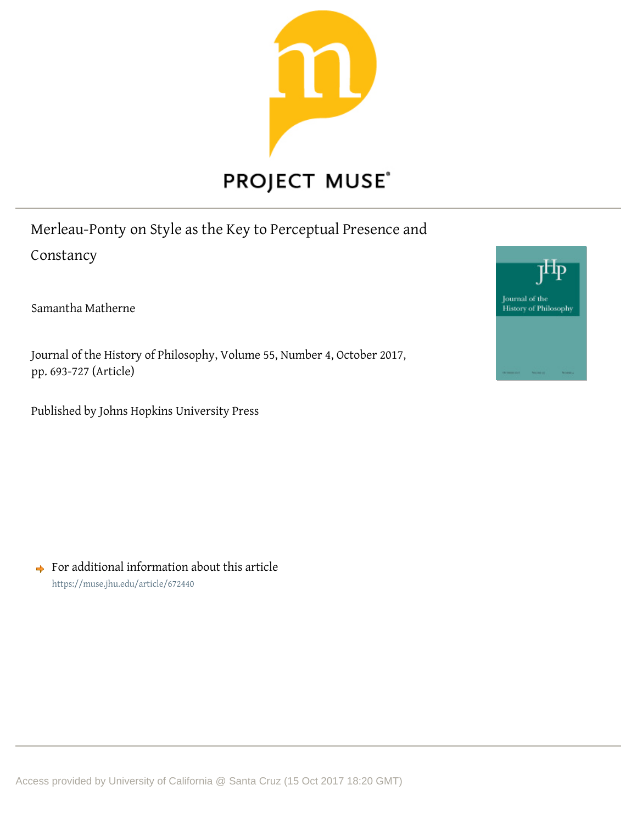

Merleau-Ponty on Style as the Key to Perceptual Presence and Constancy

Samantha Matherne

Journal of the History of Philosophy, Volume 55, Number 4, October 2017, pp. 693-727 (Article)

Published by Johns Hopkins University Press



 $\rightarrow$  For additional information about this article <https://muse.jhu.edu/article/672440>

Access provided by University of California @ Santa Cruz (15 Oct 2017 18:20 GMT)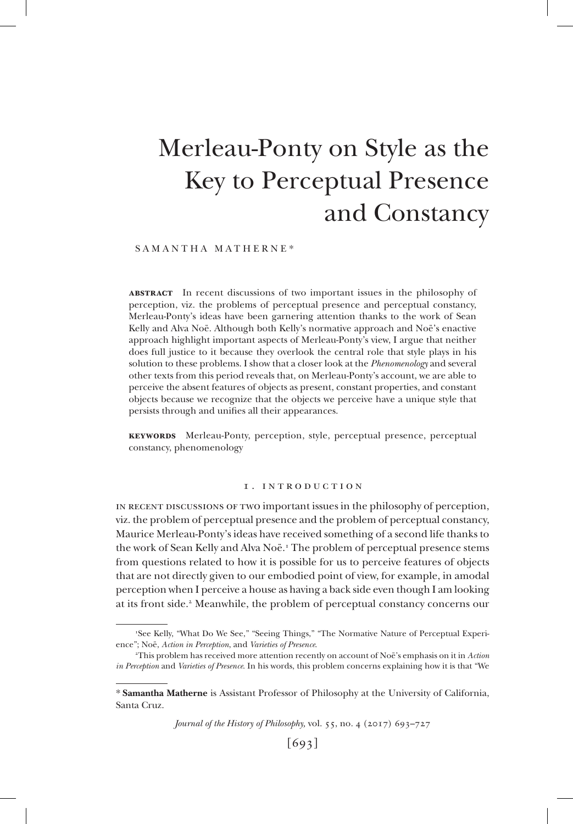# Merleau-Ponty on Style as the Key to Perceptual Presence and Constancy

#### SAMANTHA MATHERNE\*

**abstract** In recent discussions of two important issues in the philosophy of perception, viz. the problems of perceptual presence and perceptual constancy, Merleau-Ponty's ideas have been garnering attention thanks to the work of Sean Kelly and Alva Noë. Although both Kelly's normative approach and Noë's enactive approach highlight important aspects of Merleau-Ponty's view, I argue that neither does full justice to it because they overlook the central role that style plays in his solution to these problems. I show that a closer look at the *Phenomenology* and several other texts from this period reveals that, on Merleau-Ponty's account, we are able to perceive the absent features of objects as present, constant properties, and constant objects because we recognize that the objects we perceive have a unique style that persists through and unifies all their appearances.

**keywords** Merleau-Ponty, perception, style, perceptual presence, perceptual constancy, phenomenology

#### 1 . introduction

in recent discussions of two important issues in the philosophy of perception, viz. the problem of perceptual presence and the problem of perceptual constancy, Maurice Merleau-Ponty's ideas have received something of a second life thanks to the work of Sean Kelly and Alva Noë.<sup>1</sup> The problem of perceptual presence stems from questions related to how it is possible for us to perceive features of objects that are not directly given to our embodied point of view, for example, in amodal perception when I perceive a house as having a back side even though I am looking at its front side.<sup>2</sup> Meanwhile, the problem of perceptual constancy concerns our

*Journal of the History of Philosophy,* vol. 55, no. 4 (2017) 693–727

<sup>1</sup> See Kelly, "What Do We See," "Seeing Things," "The Normative Nature of Perceptual Experience"; Noë, *Action in Perception*, and *Varieties of Presence*.

<sup>2</sup> This problem has received more attention recently on account of Noë's emphasis on it in *Action in Perception* and *Varieties of Presence*. In his words, this problem concerns explaining how it is that "We

<sup>\*</sup> **Samantha Matherne** is Assistant Professor of Philosophy at the University of California, Santa Cruz.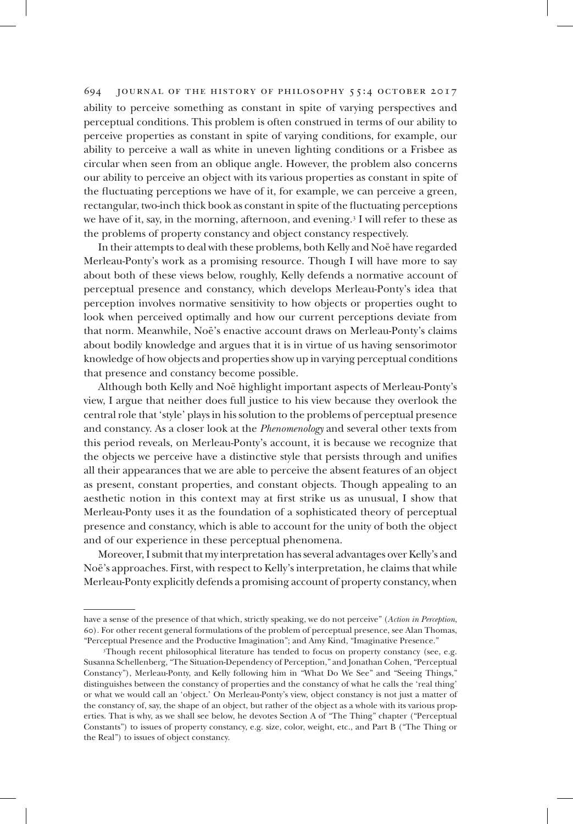ability to perceive something as constant in spite of varying perspectives and perceptual conditions. This problem is often construed in terms of our ability to perceive properties as constant in spite of varying conditions, for example, our ability to perceive a wall as white in uneven lighting conditions or a Frisbee as circular when seen from an oblique angle. However, the problem also concerns our ability to perceive an object with its various properties as constant in spite of the fluctuating perceptions we have of it, for example, we can perceive a green, rectangular, two-inch thick book as constant in spite of the fluctuating perceptions we have of it, say, in the morning, afternoon, and evening.<sup>3</sup> I will refer to these as the problems of property constancy and object constancy respectively.

In their attempts to deal with these problems, both Kelly and Noë have regarded Merleau-Ponty's work as a promising resource. Though I will have more to say about both of these views below, roughly, Kelly defends a normative account of perceptual presence and constancy, which develops Merleau-Ponty's idea that perception involves normative sensitivity to how objects or properties ought to look when perceived optimally and how our current perceptions deviate from that norm. Meanwhile, Noë's enactive account draws on Merleau-Ponty's claims about bodily knowledge and argues that it is in virtue of us having sensorimotor knowledge of how objects and properties show up in varying perceptual conditions that presence and constancy become possible.

Although both Kelly and Noë highlight important aspects of Merleau-Ponty's view, I argue that neither does full justice to his view because they overlook the central role that 'style' plays in his solution to the problems of perceptual presence and constancy. As a closer look at the *Phenomenology* and several other texts from this period reveals, on Merleau-Ponty's account, it is because we recognize that the objects we perceive have a distinctive style that persists through and unifies all their appearances that we are able to perceive the absent features of an object as present, constant properties, and constant objects. Though appealing to an aesthetic notion in this context may at first strike us as unusual, I show that Merleau-Ponty uses it as the foundation of a sophisticated theory of perceptual presence and constancy, which is able to account for the unity of both the object and of our experience in these perceptual phenomena.

Moreover, I submit that my interpretation has several advantages over Kelly's and Noë's approaches. First, with respect to Kelly's interpretation, he claims that while Merleau-Ponty explicitly defends a promising account of property constancy, when

have a sense of the presence of that which, strictly speaking, we do not perceive" (*Action in Perception*, 60). For other recent general formulations of the problem of perceptual presence, see Alan Thomas, "Perceptual Presence and the Productive Imagination"; and Amy Kind, "Imaginative Presence."

<sup>3</sup> Though recent philosophical literature has tended to focus on property constancy (see, e.g. Susanna Schellenberg, "The Situation-Dependency of Perception," and Jonathan Cohen, "Perceptual Constancy"), Merleau-Ponty, and Kelly following him in "What Do We See" and "Seeing Things," distinguishes between the constancy of properties and the constancy of what he calls the 'real thing' or what we would call an 'object.' On Merleau-Ponty's view, object constancy is not just a matter of the constancy of, say, the shape of an object, but rather of the object as a whole with its various properties. That is why, as we shall see below, he devotes Section A of "The Thing" chapter ("Perceptual Constants") to issues of property constancy, e.g. size, color, weight, etc., and Part B ("The Thing or the Real") to issues of object constancy.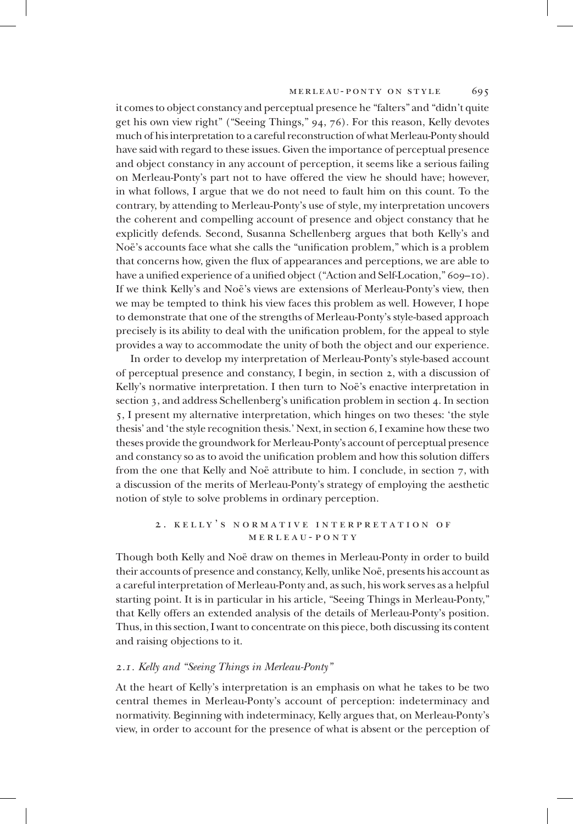it comes to object constancy and perceptual presence he "falters" and "didn't quite get his own view right" ("Seeing Things," 94, 76). For this reason, Kelly devotes much of his interpretation to a careful reconstruction of what Merleau-Ponty should have said with regard to these issues. Given the importance of perceptual presence and object constancy in any account of perception, it seems like a serious failing on Merleau-Ponty's part not to have offered the view he should have; however, in what follows, I argue that we do not need to fault him on this count. To the contrary, by attending to Merleau-Ponty's use of style, my interpretation uncovers the coherent and compelling account of presence and object constancy that he explicitly defends. Second, Susanna Schellenberg argues that both Kelly's and Noë's accounts face what she calls the "unification problem," which is a problem that concerns how, given the flux of appearances and perceptions, we are able to have a unified experience of a unified object ("Action and Self-Location," 609–10). If we think Kelly's and Noë's views are extensions of Merleau-Ponty's view, then we may be tempted to think his view faces this problem as well. However, I hope to demonstrate that one of the strengths of Merleau-Ponty's style-based approach precisely is its ability to deal with the unification problem, for the appeal to style provides a way to accommodate the unity of both the object and our experience.

In order to develop my interpretation of Merleau-Ponty's style-based account of perceptual presence and constancy, I begin, in section 2, with a discussion of Kelly's normative interpretation. I then turn to Noë's enactive interpretation in section 3, and address Schellenberg's unification problem in section 4. In section 5, I present my alternative interpretation, which hinges on two theses: 'the style thesis' and 'the style recognition thesis.' Next, in section 6, I examine how these two theses provide the groundwork for Merleau-Ponty's account of perceptual presence and constancy so as to avoid the unification problem and how this solution differs from the one that Kelly and Noë attribute to him. I conclude, in section 7, with a discussion of the merits of Merleau-Ponty's strategy of employing the aesthetic notion of style to solve problems in ordinary perception.

## 2 . kelly's normative interpretation of merleau-ponty

Though both Kelly and Noë draw on themes in Merleau-Ponty in order to build their accounts of presence and constancy, Kelly, unlike Noë, presents his account as a careful interpretation of Merleau-Ponty and, as such, his work serves as a helpful starting point. It is in particular in his article, "Seeing Things in Merleau-Ponty," that Kelly offers an extended analysis of the details of Merleau-Ponty's position. Thus, in this section, I want to concentrate on this piece, both discussing its content and raising objections to it.

## *2.1. Kelly and "Seeing Things in Merleau-Ponty"*

At the heart of Kelly's interpretation is an emphasis on what he takes to be two central themes in Merleau-Ponty's account of perception: indeterminacy and normativity. Beginning with indeterminacy, Kelly argues that, on Merleau-Ponty's view, in order to account for the presence of what is absent or the perception of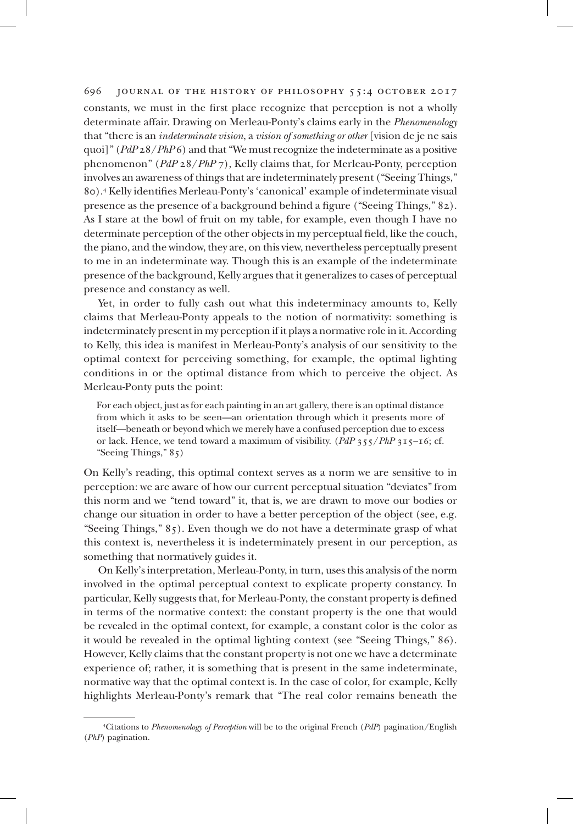constants, we must in the first place recognize that perception is not a wholly determinate affair. Drawing on Merleau-Ponty's claims early in the *Phenomenology*  that "there is an *indeterminate vision*, a *vision of something or other* [vision de je ne sais quoi]" (*PdP* 28/*PhP* 6) and that "We must recognize the indeterminate as a positive phenomenon" (*PdP* 28/*PhP* 7), Kelly claims that, for Merleau-Ponty, perception involves an awareness of things that are indeterminately present ("Seeing Things," 80).<sup>4</sup> Kelly identifies Merleau-Ponty's 'canonical' example of indeterminate visual presence as the presence of a background behind a figure ("Seeing Things," 82). As I stare at the bowl of fruit on my table, for example, even though I have no determinate perception of the other objects in my perceptual field, like the couch, the piano, and the window, they are, on this view, nevertheless perceptually present to me in an indeterminate way. Though this is an example of the indeterminate presence of the background, Kelly argues that it generalizes to cases of perceptual presence and constancy as well.

Yet, in order to fully cash out what this indeterminacy amounts to, Kelly claims that Merleau-Ponty appeals to the notion of normativity: something is indeterminately present in my perception if it plays a normative role in it. According to Kelly, this idea is manifest in Merleau-Ponty's analysis of our sensitivity to the optimal context for perceiving something, for example, the optimal lighting conditions in or the optimal distance from which to perceive the object. As Merleau-Ponty puts the point:

For each object, just as for each painting in an art gallery, there is an optimal distance from which it asks to be seen—an orientation through which it presents more of itself—beneath or beyond which we merely have a confused perception due to excess or lack. Hence, we tend toward a maximum of visibility. (*PdP* 355/*PhP* 315–16; cf. "Seeing Things," 85)

On Kelly's reading, this optimal context serves as a norm we are sensitive to in perception: we are aware of how our current perceptual situation "deviates" from this norm and we "tend toward" it, that is, we are drawn to move our bodies or change our situation in order to have a better perception of the object (see, e.g. "Seeing Things," 85). Even though we do not have a determinate grasp of what this context is, nevertheless it is indeterminately present in our perception, as something that normatively guides it.

On Kelly's interpretation, Merleau-Ponty, in turn, uses this analysis of the norm involved in the optimal perceptual context to explicate property constancy. In particular, Kelly suggests that, for Merleau-Ponty, the constant property is defined in terms of the normative context: the constant property is the one that would be revealed in the optimal context, for example, a constant color is the color as it would be revealed in the optimal lighting context (see "Seeing Things," 86). However, Kelly claims that the constant property is not one we have a determinate experience of; rather, it is something that is present in the same indeterminate, normative way that the optimal context is. In the case of color, for example, Kelly highlights Merleau-Ponty's remark that "The real color remains beneath the

<sup>4</sup> Citations to *Phenomenology of Perception* will be to the original French (*PdP*) pagination/English (*PhP*) pagination.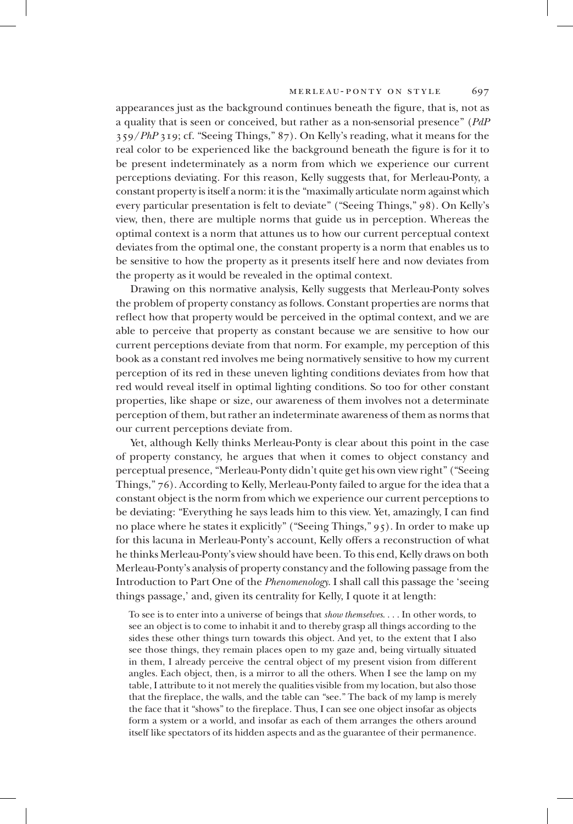appearances just as the background continues beneath the figure, that is, not as a quality that is seen or conceived, but rather as a non-sensorial presence" (*PdP* 359/*PhP* 319; cf. "Seeing Things," 87). On Kelly's reading, what it means for the real color to be experienced like the background beneath the figure is for it to be present indeterminately as a norm from which we experience our current perceptions deviating. For this reason, Kelly suggests that, for Merleau-Ponty, a constant property is itself a norm: it is the "maximally articulate norm against which every particular presentation is felt to deviate" ("Seeing Things," 98). On Kelly's view, then, there are multiple norms that guide us in perception. Whereas the optimal context is a norm that attunes us to how our current perceptual context deviates from the optimal one, the constant property is a norm that enables us to be sensitive to how the property as it presents itself here and now deviates from the property as it would be revealed in the optimal context.

Drawing on this normative analysis, Kelly suggests that Merleau-Ponty solves the problem of property constancy as follows. Constant properties are norms that reflect how that property would be perceived in the optimal context, and we are able to perceive that property as constant because we are sensitive to how our current perceptions deviate from that norm. For example, my perception of this book as a constant red involves me being normatively sensitive to how my current perception of its red in these uneven lighting conditions deviates from how that red would reveal itself in optimal lighting conditions. So too for other constant properties, like shape or size, our awareness of them involves not a determinate perception of them, but rather an indeterminate awareness of them as norms that our current perceptions deviate from.

Yet, although Kelly thinks Merleau-Ponty is clear about this point in the case of property constancy, he argues that when it comes to object constancy and perceptual presence, "Merleau-Ponty didn't quite get his own view right" ("Seeing Things," 76). According to Kelly, Merleau-Ponty failed to argue for the idea that a constant object is the norm from which we experience our current perceptions to be deviating: "Everything he says leads him to this view. Yet, amazingly, I can find no place where he states it explicitly" ("Seeing Things," 95). In order to make up for this lacuna in Merleau-Ponty's account, Kelly offers a reconstruction of what he thinks Merleau-Ponty's view should have been. To this end, Kelly draws on both Merleau-Ponty's analysis of property constancy and the following passage from the Introduction to Part One of the *Phenomenology*. I shall call this passage the 'seeing things passage,' and, given its centrality for Kelly, I quote it at length:

To see is to enter into a universe of beings that *show themselves*. . . . In other words, to see an object is to come to inhabit it and to thereby grasp all things according to the sides these other things turn towards this object. And yet, to the extent that I also see those things, they remain places open to my gaze and, being virtually situated in them, I already perceive the central object of my present vision from different angles. Each object, then, is a mirror to all the others. When I see the lamp on my table, I attribute to it not merely the qualities visible from my location, but also those that the fireplace, the walls, and the table can "see." The back of my lamp is merely the face that it "shows" to the fireplace. Thus, I can see one object insofar as objects form a system or a world, and insofar as each of them arranges the others around itself like spectators of its hidden aspects and as the guarantee of their permanence.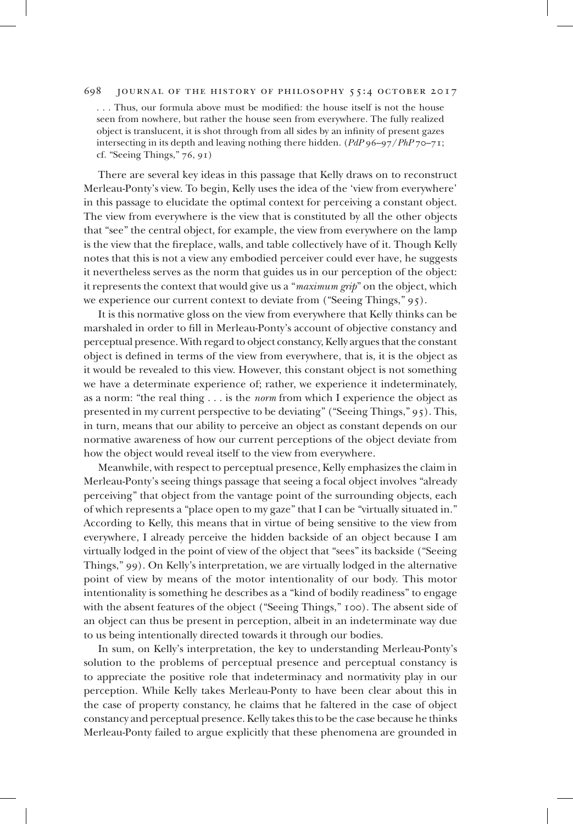. . . Thus, our formula above must be modified: the house itself is not the house seen from nowhere, but rather the house seen from everywhere. The fully realized object is translucent, it is shot through from all sides by an infinity of present gazes intersecting in its depth and leaving nothing there hidden. (*PdP* 96–97/*PhP* 70–71; cf. "Seeing Things," 76, 91)

There are several key ideas in this passage that Kelly draws on to reconstruct Merleau-Ponty's view. To begin, Kelly uses the idea of the 'view from everywhere' in this passage to elucidate the optimal context for perceiving a constant object. The view from everywhere is the view that is constituted by all the other objects that "see" the central object, for example, the view from everywhere on the lamp is the view that the fireplace, walls, and table collectively have of it. Though Kelly notes that this is not a view any embodied perceiver could ever have, he suggests it nevertheless serves as the norm that guides us in our perception of the object: it represents the context that would give us a "*maximum grip*" on the object, which we experience our current context to deviate from ("Seeing Things," 95).

It is this normative gloss on the view from everywhere that Kelly thinks can be marshaled in order to fill in Merleau-Ponty's account of objective constancy and perceptual presence. With regard to object constancy, Kelly argues that the constant object is defined in terms of the view from everywhere, that is, it is the object as it would be revealed to this view. However, this constant object is not something we have a determinate experience of; rather, we experience it indeterminately, as a norm: "the real thing . . . is the *norm* from which I experience the object as presented in my current perspective to be deviating" ("Seeing Things," 95). This, in turn, means that our ability to perceive an object as constant depends on our normative awareness of how our current perceptions of the object deviate from how the object would reveal itself to the view from everywhere.

Meanwhile, with respect to perceptual presence, Kelly emphasizes the claim in Merleau-Ponty's seeing things passage that seeing a focal object involves "already perceiving" that object from the vantage point of the surrounding objects, each of which represents a "place open to my gaze" that I can be "virtually situated in." According to Kelly, this means that in virtue of being sensitive to the view from everywhere, I already perceive the hidden backside of an object because I am virtually lodged in the point of view of the object that "sees" its backside ("Seeing Things," 99). On Kelly's interpretation, we are virtually lodged in the alternative point of view by means of the motor intentionality of our body. This motor intentionality is something he describes as a "kind of bodily readiness" to engage with the absent features of the object ("Seeing Things," 100). The absent side of an object can thus be present in perception, albeit in an indeterminate way due to us being intentionally directed towards it through our bodies.

In sum, on Kelly's interpretation, the key to understanding Merleau-Ponty's solution to the problems of perceptual presence and perceptual constancy is to appreciate the positive role that indeterminacy and normativity play in our perception. While Kelly takes Merleau-Ponty to have been clear about this in the case of property constancy, he claims that he faltered in the case of object constancy and perceptual presence. Kelly takes this to be the case because he thinks Merleau-Ponty failed to argue explicitly that these phenomena are grounded in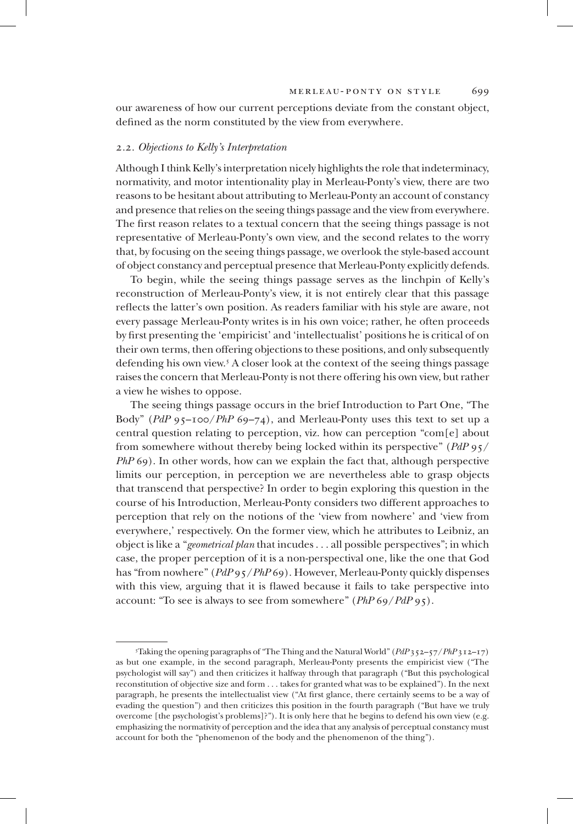our awareness of how our current perceptions deviate from the constant object, defined as the norm constituted by the view from everywhere.

#### *2.2. Objections to Kelly's Interpretation*

Although I think Kelly's interpretation nicely highlights the role that indeterminacy, normativity, and motor intentionality play in Merleau-Ponty's view, there are two reasons to be hesitant about attributing to Merleau-Ponty an account of constancy and presence that relies on the seeing things passage and the view from everywhere. The first reason relates to a textual concern that the seeing things passage is not representative of Merleau-Ponty's own view, and the second relates to the worry that, by focusing on the seeing things passage, we overlook the style-based account of object constancy and perceptual presence that Merleau-Ponty explicitly defends.

To begin, while the seeing things passage serves as the linchpin of Kelly's reconstruction of Merleau-Ponty's view, it is not entirely clear that this passage reflects the latter's own position. As readers familiar with his style are aware, not every passage Merleau-Ponty writes is in his own voice; rather, he often proceeds by first presenting the 'empiricist' and 'intellectualist' positions he is critical of on their own terms, then offering objections to these positions, and only subsequently defending his own view.<sup>5</sup> A closer look at the context of the seeing things passage raises the concern that Merleau-Ponty is not there offering his own view, but rather a view he wishes to oppose.

The seeing things passage occurs in the brief Introduction to Part One, "The Body" (*PdP* 95–100/*PhP* 69–74), and Merleau-Ponty uses this text to set up a central question relating to perception, viz. how can perception "com[e] about from somewhere without thereby being locked within its perspective" (*PdP* 95/ *PhP* 69). In other words, how can we explain the fact that, although perspective limits our perception, in perception we are nevertheless able to grasp objects that transcend that perspective? In order to begin exploring this question in the course of his Introduction, Merleau-Ponty considers two different approaches to perception that rely on the notions of the 'view from nowhere' and 'view from everywhere,' respectively. On the former view, which he attributes to Leibniz, an object is like a "*geometrical plan* that incudes . . . all possible perspectives"; in which case, the proper perception of it is a non-perspectival one, like the one that God has "from nowhere" (*PdP* 95/*PhP* 69). However, Merleau-Ponty quickly dispenses with this view, arguing that it is flawed because it fails to take perspective into account: "To see is always to see from somewhere" (*PhP* 69/*PdP* 95).

<sup>5</sup> Taking the opening paragraphs of "The Thing and the Natural World" (*PdP* 352–57/*PhP* 312–17) as but one example, in the second paragraph, Merleau-Ponty presents the empiricist view ("The psychologist will say") and then criticizes it halfway through that paragraph ("But this psychological reconstitution of objective size and form . . . takes for granted what was to be explained"). In the next paragraph, he presents the intellectualist view ("At first glance, there certainly seems to be a way of evading the question") and then criticizes this position in the fourth paragraph ("But have we truly overcome [the psychologist's problems]?"). It is only here that he begins to defend his own view (e.g. emphasizing the normativity of perception and the idea that any analysis of perceptual constancy must account for both the "phenomenon of the body and the phenomenon of the thing").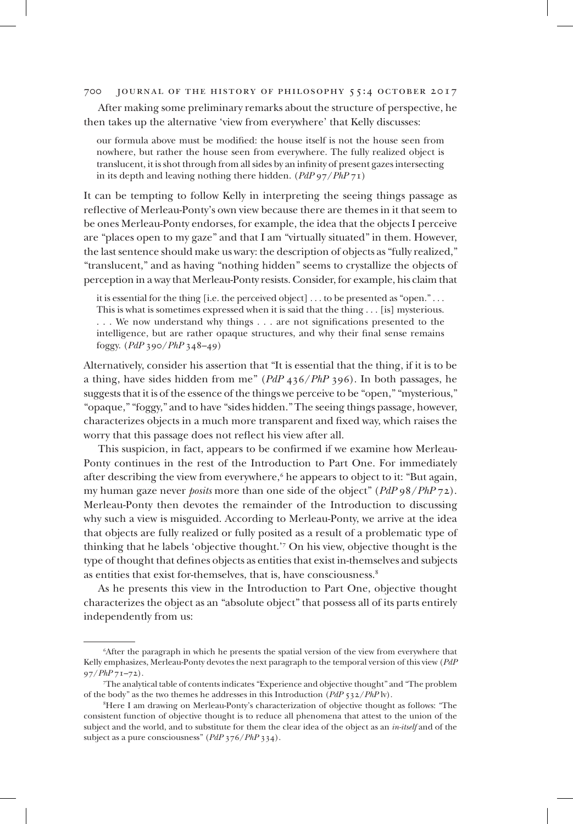After making some preliminary remarks about the structure of perspective, he then takes up the alternative 'view from everywhere' that Kelly discusses:

our formula above must be modified: the house itself is not the house seen from nowhere, but rather the house seen from everywhere. The fully realized object is translucent, it is shot through from all sides by an infinity of present gazes intersecting in its depth and leaving nothing there hidden. (*PdP* 97/*PhP* 71)

It can be tempting to follow Kelly in interpreting the seeing things passage as reflective of Merleau-Ponty's own view because there are themes in it that seem to be ones Merleau-Ponty endorses, for example, the idea that the objects I perceive are "places open to my gaze" and that I am "virtually situated" in them. However, the last sentence should make us wary: the description of objects as "fully realized," "translucent," and as having "nothing hidden" seems to crystallize the objects of perception in a way that Merleau-Ponty resists. Consider, for example, his claim that

it is essential for the thing [i.e. the perceived object] . . . to be presented as "open." . . . This is what is sometimes expressed when it is said that the thing . . . [is] mysterious. . . . We now understand why things . . . are not significations presented to the intelligence, but are rather opaque structures, and why their final sense remains foggy. (*PdP* 390/*PhP* 348–49)

Alternatively, consider his assertion that "It is essential that the thing, if it is to be a thing, have sides hidden from me" (*PdP* 436/*PhP* 396). In both passages, he suggests that it is of the essence of the things we perceive to be "open," "mysterious," "opaque," "foggy," and to have "sides hidden." The seeing things passage, however, characterizes objects in a much more transparent and fixed way, which raises the worry that this passage does not reflect his view after all.

This suspicion, in fact, appears to be confirmed if we examine how Merleau-Ponty continues in the rest of the Introduction to Part One. For immediately after describing the view from everywhere,<sup>6</sup> he appears to object to it: "But again, my human gaze never *posits* more than one side of the object" (*PdP* 98/*PhP* 72). Merleau-Ponty then devotes the remainder of the Introduction to discussing why such a view is misguided. According to Merleau-Ponty, we arrive at the idea that objects are fully realized or fully posited as a result of a problematic type of thinking that he labels 'objective thought.'<sup>7</sup> On his view, objective thought is the type of thought that defines objects as entities that exist in-themselves and subjects as entities that exist for-themselves, that is, have consciousness.<sup>8</sup>

As he presents this view in the Introduction to Part One, objective thought characterizes the object as an "absolute object" that possess all of its parts entirely independently from us:

<sup>6</sup> After the paragraph in which he presents the spatial version of the view from everywhere that Kelly emphasizes, Merleau-Ponty devotes the next paragraph to the temporal version of this view (*PdP* 97/*PhP* 71–72).

<sup>7</sup> The analytical table of contents indicates "Experience and objective thought" and "The problem of the body" as the two themes he addresses in this Introduction (*PdP* 532/*PhP* lv).

<sup>8</sup> Here I am drawing on Merleau-Ponty's characterization of objective thought as follows: "The consistent function of objective thought is to reduce all phenomena that attest to the union of the subject and the world, and to substitute for them the clear idea of the object as an *in-itself* and of the subject as a pure consciousness" (*PdP* 376/*PhP* 334).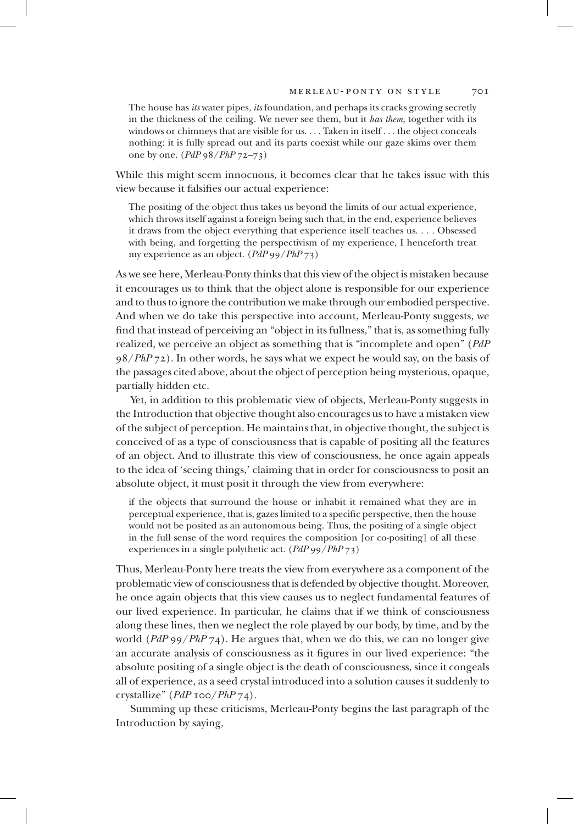The house has *its* water pipes, *its* foundation, and perhaps its cracks growing secretly in the thickness of the ceiling. We never see them, but it *has them*, together with its windows or chimneys that are visible for us. . . . Taken in itself . . . the object conceals nothing: it is fully spread out and its parts coexist while our gaze skims over them one by one. (*PdP* 98/*PhP* 72–73)

While this might seem innocuous, it becomes clear that he takes issue with this view because it falsifies our actual experience:

The positing of the object thus takes us beyond the limits of our actual experience, which throws itself against a foreign being such that, in the end, experience believes it draws from the object everything that experience itself teaches us. . . . Obsessed with being, and forgetting the perspectivism of my experience, I henceforth treat my experience as an object. (*PdP* 99/*PhP* 73)

As we see here, Merleau-Ponty thinks that this view of the object is mistaken because it encourages us to think that the object alone is responsible for our experience and to thus to ignore the contribution we make through our embodied perspective. And when we do take this perspective into account, Merleau-Ponty suggests, we find that instead of perceiving an "object in its fullness," that is, as something fully realized, we perceive an object as something that is "incomplete and open" (*PdP* 98/*PhP* 72). In other words, he says what we expect he would say, on the basis of the passages cited above, about the object of perception being mysterious, opaque, partially hidden etc.

Yet, in addition to this problematic view of objects, Merleau-Ponty suggests in the Introduction that objective thought also encourages us to have a mistaken view of the subject of perception. He maintains that, in objective thought, the subject is conceived of as a type of consciousness that is capable of positing all the features of an object. And to illustrate this view of consciousness, he once again appeals to the idea of 'seeing things,' claiming that in order for consciousness to posit an absolute object, it must posit it through the view from everywhere:

if the objects that surround the house or inhabit it remained what they are in perceptual experience, that is, gazes limited to a specific perspective, then the house would not be posited as an autonomous being. Thus, the positing of a single object in the full sense of the word requires the composition [or co-positing] of all these experiences in a single polythetic act. (*PdP* 99/*PhP* 73)

Thus, Merleau-Ponty here treats the view from everywhere as a component of the problematic view of consciousness that is defended by objective thought. Moreover, he once again objects that this view causes us to neglect fundamental features of our lived experience. In particular, he claims that if we think of consciousness along these lines, then we neglect the role played by our body, by time, and by the world (*PdP* 99/*PhP* 74). He argues that, when we do this, we can no longer give an accurate analysis of consciousness as it figures in our lived experience: "the absolute positing of a single object is the death of consciousness, since it congeals all of experience, as a seed crystal introduced into a solution causes it suddenly to crystallize" (*PdP* 100/*PhP* 74).

Summing up these criticisms, Merleau-Ponty begins the last paragraph of the Introduction by saying,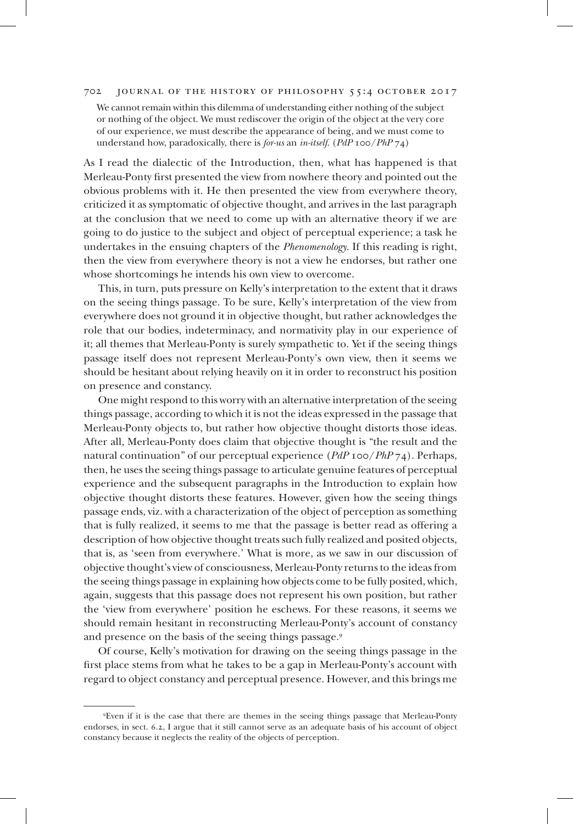We cannot remain within this dilemma of understanding either nothing of the subject or nothing of the object. We must rediscover the origin of the object at the very core of our experience, we must describe the appearance of being, and we must come to understand how, paradoxically, there is *for-us* an *in-itself*. (*PdP* 100/*PhP* 74)

As I read the dialectic of the Introduction, then, what has happened is that Merleau-Ponty first presented the view from nowhere theory and pointed out the obvious problems with it. He then presented the view from everywhere theory, criticized it as symptomatic of objective thought, and arrives in the last paragraph at the conclusion that we need to come up with an alternative theory if we are going to do justice to the subject and object of perceptual experience; a task he undertakes in the ensuing chapters of the *Phenomenology*. If this reading is right, then the view from everywhere theory is not a view he endorses, but rather one whose shortcomings he intends his own view to overcome.

This, in turn, puts pressure on Kelly's interpretation to the extent that it draws on the seeing things passage. To be sure, Kelly's interpretation of the view from everywhere does not ground it in objective thought, but rather acknowledges the role that our bodies, indeterminacy, and normativity play in our experience of it; all themes that Merleau-Ponty is surely sympathetic to. Yet if the seeing things passage itself does not represent Merleau-Ponty's own view, then it seems we should be hesitant about relying heavily on it in order to reconstruct his position on presence and constancy.

One might respond to this worry with an alternative interpretation of the seeing things passage, according to which it is not the ideas expressed in the passage that Merleau-Ponty objects to, but rather how objective thought distorts those ideas. After all, Merleau-Ponty does claim that objective thought is "the result and the natural continuation" of our perceptual experience (*PdP* 100/*PhP* 74). Perhaps, then, he uses the seeing things passage to articulate genuine features of perceptual experience and the subsequent paragraphs in the Introduction to explain how objective thought distorts these features. However, given how the seeing things passage ends, viz. with a characterization of the object of perception as something that is fully realized, it seems to me that the passage is better read as offering a description of how objective thought treats such fully realized and posited objects, that is, as 'seen from everywhere.' What is more, as we saw in our discussion of objective thought's view of consciousness, Merleau-Ponty returns to the ideas from the seeing things passage in explaining how objects come to be fully posited, which, again, suggests that this passage does not represent his own position, but rather the 'view from everywhere' position he eschews. For these reasons, it seems we should remain hesitant in reconstructing Merleau-Ponty's account of constancy and presence on the basis of the seeing things passage.<sup>9</sup>

Of course, Kelly's motivation for drawing on the seeing things passage in the first place stems from what he takes to be a gap in Merleau-Ponty's account with regard to object constancy and perceptual presence. However, and this brings me

<sup>9</sup> Even if it is the case that there are themes in the seeing things passage that Merleau-Ponty endorses, in sect. 6.2, I argue that it still cannot serve as an adequate basis of his account of object constancy because it neglects the reality of the objects of perception.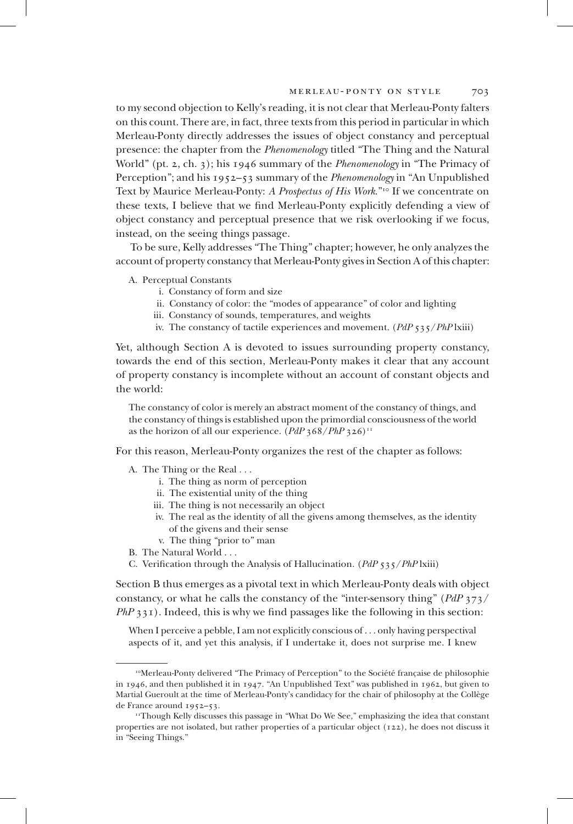to my second objection to Kelly's reading, it is not clear that Merleau-Ponty falters on this count. There are, in fact, three texts from this period in particular in which Merleau-Ponty directly addresses the issues of object constancy and perceptual presence: the chapter from the *Phenomenology* titled "The Thing and the Natural World" (pt. 2, ch. 3); his 1946 summary of the *Phenomenology* in "The Primacy of Perception"; and his 1952–53 summary of the *Phenomenology* in "An Unpublished Text by Maurice Merleau-Ponty: *A Prospectus of His Work*."<sup>10</sup> If we concentrate on these texts, I believe that we find Merleau-Ponty explicitly defending a view of object constancy and perceptual presence that we risk overlooking if we focus, instead, on the seeing things passage.

To be sure, Kelly addresses "The Thing" chapter; however, he only analyzes the account of property constancy that Merleau-Ponty gives in Section A of this chapter:

A. Perceptual Constants

- i. Constancy of form and size
- ii. Constancy of color: the "modes of appearance" of color and lighting
- iii. Constancy of sounds, temperatures, and weights
- iv. The constancy of tactile experiences and movement. (*PdP* 535/*PhP* lxiii)

Yet, although Section A is devoted to issues surrounding property constancy, towards the end of this section, Merleau-Ponty makes it clear that any account of property constancy is incomplete without an account of constant objects and the world:

The constancy of color is merely an abstract moment of the constancy of things, and the constancy of things is established upon the primordial consciousness of the world as the horizon of all our experience. (*PdP* 368/*PhP* 326)<sup>11</sup>

For this reason, Merleau-Ponty organizes the rest of the chapter as follows:

A. The Thing or the Real . . .

- i. The thing as norm of perception
- ii. The existential unity of the thing
- iii. The thing is not necessarily an object
- iv. The real as the identity of all the givens among themselves, as the identity of the givens and their sense
- v. The thing "prior to" man
- B. The Natural World . . .
- C. Verification through the Analysis of Hallucination. (*PdP* 535/*PhP* lxiii)

Section B thus emerges as a pivotal text in which Merleau-Ponty deals with object constancy, or what he calls the constancy of the "inter-sensory thing" (*PdP* 373/ *PhP* 331). Indeed, this is why we find passages like the following in this section:

When I perceive a pebble, I am not explicitly conscious of . . . only having perspectival aspects of it, and yet this analysis, if I undertake it, does not surprise me. I knew

<sup>10</sup>Merleau-Ponty delivered "The Primacy of Perception" to the Société française de philosophie in 1946, and then published it in 1947. "An Unpublished Text" was published in 1962, but given to Martial Gueroult at the time of Merleau-Ponty's candidacy for the chair of philosophy at the Collège de France around 1952–53.

<sup>11</sup>Though Kelly discusses this passage in "What Do We See," emphasizing the idea that constant properties are not isolated, but rather properties of a particular object (122), he does not discuss it in "Seeing Things."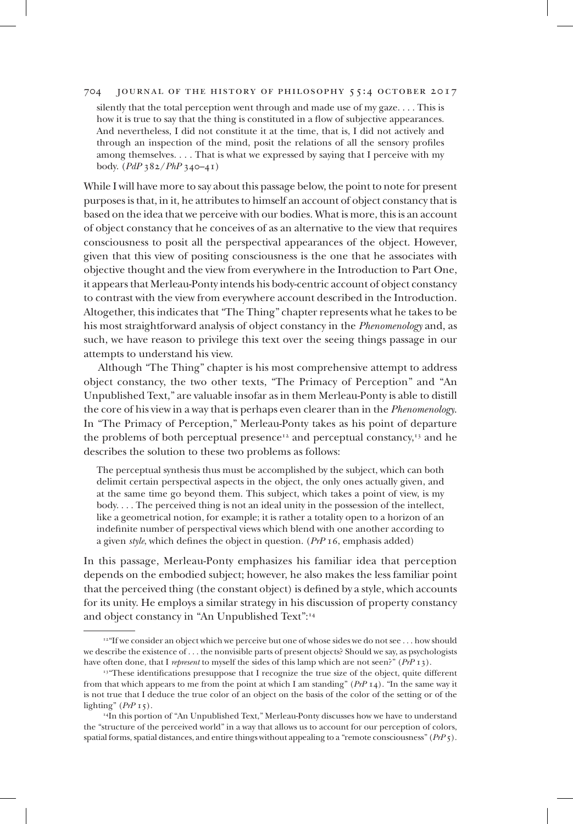silently that the total perception went through and made use of my gaze. . . . This is how it is true to say that the thing is constituted in a flow of subjective appearances. And nevertheless, I did not constitute it at the time, that is, I did not actively and through an inspection of the mind, posit the relations of all the sensory profiles among themselves. . . . That is what we expressed by saying that I perceive with my body. (*PdP* 382/*PhP* 340–41)

While I will have more to say about this passage below, the point to note for present purposes is that, in it, he attributes to himself an account of object constancy that is based on the idea that we perceive with our bodies. What is more, this is an account of object constancy that he conceives of as an alternative to the view that requires consciousness to posit all the perspectival appearances of the object. However, given that this view of positing consciousness is the one that he associates with objective thought and the view from everywhere in the Introduction to Part One, it appears that Merleau-Ponty intends his body-centric account of object constancy to contrast with the view from everywhere account described in the Introduction. Altogether, this indicates that "The Thing" chapter represents what he takes to be his most straightforward analysis of object constancy in the *Phenomenology* and, as such, we have reason to privilege this text over the seeing things passage in our attempts to understand his view.

Although "The Thing" chapter is his most comprehensive attempt to address object constancy, the two other texts, "The Primacy of Perception" and "An Unpublished Text," are valuable insofar as in them Merleau-Ponty is able to distill the core of his view in a way that is perhaps even clearer than in the *Phenomenology*. In "The Primacy of Perception," Merleau-Ponty takes as his point of departure the problems of both perceptual presence<sup>12</sup> and perceptual constancy,<sup>13</sup> and he describes the solution to these two problems as follows:

The perceptual synthesis thus must be accomplished by the subject, which can both delimit certain perspectival aspects in the object, the only ones actually given, and at the same time go beyond them. This subject, which takes a point of view, is my body. . . . The perceived thing is not an ideal unity in the possession of the intellect, like a geometrical notion, for example; it is rather a totality open to a horizon of an indefinite number of perspectival views which blend with one another according to a given *style*, which defines the object in question. (*PrP* 16, emphasis added)

In this passage, Merleau-Ponty emphasizes his familiar idea that perception depends on the embodied subject; however, he also makes the less familiar point that the perceived thing (the constant object) is defined by a style, which accounts for its unity. He employs a similar strategy in his discussion of property constancy and object constancy in "An Unpublished Text":<sup>14</sup>

<sup>&</sup>lt;sup>12"</sup>If we consider an object which we perceive but one of whose sides we do not see . . . how should we describe the existence of . . . the nonvisible parts of present objects? Should we say, as psychologists have often done, that I *represent* to myself the sides of this lamp which are not seen?" ( $PrP_1$ 3).

<sup>&</sup>lt;sup>13</sup> "These identifications presuppose that I recognize the true size of the object, quite different from that which appears to me from the point at which I am standing" (*PrP* 14). "In the same way it is not true that I deduce the true color of an object on the basis of the color of the setting or of the lighting" (*PrP* 15).

<sup>14</sup>In this portion of "An Unpublished Text," Merleau-Ponty discusses how we have to understand the "structure of the perceived world" in a way that allows us to account for our perception of colors, spatial forms, spatial distances, and entire things without appealing to a "remote consciousness" (*PrP* 5).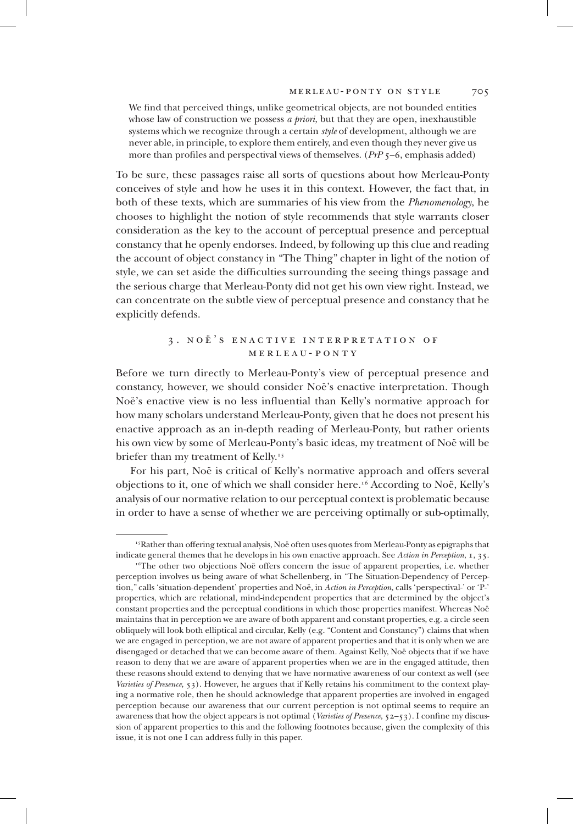We find that perceived things, unlike geometrical objects, are not bounded entities whose law of construction we possess *a priori*, but that they are open, inexhaustible systems which we recognize through a certain *style* of development, although we are never able, in principle, to explore them entirely, and even though they never give us more than profiles and perspectival views of themselves. (*PrP* 5–6, emphasis added)

To be sure, these passages raise all sorts of questions about how Merleau-Ponty conceives of style and how he uses it in this context. However, the fact that, in both of these texts, which are summaries of his view from the *Phenomenology*, he chooses to highlight the notion of style recommends that style warrants closer consideration as the key to the account of perceptual presence and perceptual constancy that he openly endorses. Indeed, by following up this clue and reading the account of object constancy in "The Thing" chapter in light of the notion of style, we can set aside the difficulties surrounding the seeing things passage and the serious charge that Merleau-Ponty did not get his own view right. Instead, we can concentrate on the subtle view of perceptual presence and constancy that he explicitly defends.

## 3 . noë's enactive interpretation of merleau-ponty

Before we turn directly to Merleau-Ponty's view of perceptual presence and constancy, however, we should consider Noë's enactive interpretation. Though Noë's enactive view is no less influential than Kelly's normative approach for how many scholars understand Merleau-Ponty, given that he does not present his enactive approach as an in-depth reading of Merleau-Ponty, but rather orients his own view by some of Merleau-Ponty's basic ideas, my treatment of Noë will be briefer than my treatment of Kelly.<sup>15</sup>

For his part, Noë is critical of Kelly's normative approach and offers several objections to it, one of which we shall consider here.<sup>16</sup> According to Noë, Kelly's analysis of our normative relation to our perceptual context is problematic because in order to have a sense of whether we are perceiving optimally or sub-optimally,

<sup>15</sup>Rather than offering textual analysis, Noë often uses quotes from Merleau-Ponty as epigraphs that indicate general themes that he develops in his own enactive approach. See *Action in Perception*, 1, 35.

<sup>&</sup>lt;sup>16</sup>The other two objections Noë offers concern the issue of apparent properties, i.e. whether perception involves us being aware of what Schellenberg, in "The Situation-Dependency of Perception," calls 'situation-dependent' properties and Noë, in *Action in Perception,* calls 'perspectival-' or 'P-' properties, which are relational, mind-independent properties that are determined by the object's constant properties and the perceptual conditions in which those properties manifest. Whereas Noë maintains that in perception we are aware of both apparent and constant properties, e.g. a circle seen obliquely will look both elliptical and circular, Kelly (e.g. "Content and Constancy") claims that when we are engaged in perception, we are not aware of apparent properties and that it is only when we are disengaged or detached that we can become aware of them. Against Kelly, Noë objects that if we have reason to deny that we are aware of apparent properties when we are in the engaged attitude, then these reasons should extend to denying that we have normative awareness of our context as well (see *Varieties of Presence*, 53). However, he argues that if Kelly retains his commitment to the context playing a normative role, then he should acknowledge that apparent properties are involved in engaged perception because our awareness that our current perception is not optimal seems to require an awareness that how the object appears is not optimal (*Varieties of Presence*, 52–53). I confine my discussion of apparent properties to this and the following footnotes because, given the complexity of this issue, it is not one I can address fully in this paper.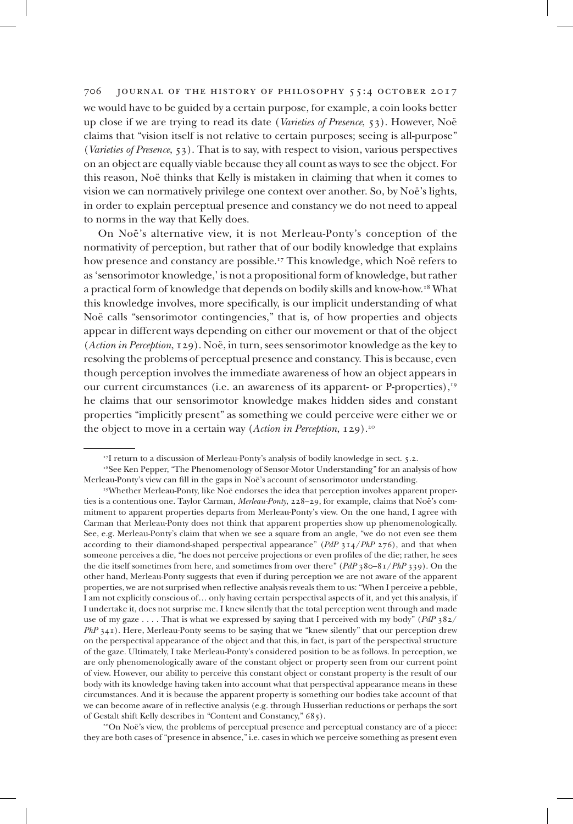we would have to be guided by a certain purpose, for example, a coin looks better up close if we are trying to read its date (*Varieties of Presence*, 53). However, Noë claims that "vision itself is not relative to certain purposes; seeing is all-purpose" (*Varieties of Presence*, 53). That is to say, with respect to vision, various perspectives on an object are equally viable because they all count as ways to see the object. For this reason, Noë thinks that Kelly is mistaken in claiming that when it comes to vision we can normatively privilege one context over another. So, by Noë's lights, in order to explain perceptual presence and constancy we do not need to appeal to norms in the way that Kelly does.

On Noë's alternative view, it is not Merleau-Ponty's conception of the normativity of perception, but rather that of our bodily knowledge that explains how presence and constancy are possible.<sup>17</sup> This knowledge, which Noë refers to as 'sensorimotor knowledge,' is not a propositional form of knowledge, but rather a practical form of knowledge that depends on bodily skills and know-how.<sup>18</sup> What this knowledge involves, more specifically, is our implicit understanding of what Noë calls "sensorimotor contingencies," that is, of how properties and objects appear in different ways depending on either our movement or that of the object (*Action in Perception*, 129). Noë, in turn, sees sensorimotor knowledge as the key to resolving the problems of perceptual presence and constancy. This is because, even though perception involves the immediate awareness of how an object appears in our current circumstances (i.e. an awareness of its apparent- or P-properties),<sup>19</sup> he claims that our sensorimotor knowledge makes hidden sides and constant properties "implicitly present" as something we could perceive were either we or the object to move in a certain way (*Action in Perception*, 129).<sup>20</sup>

<sup>20</sup>On Noë's view, the problems of perceptual presence and perceptual constancy are of a piece: they are both cases of "presence in absence," i.e. cases in which we perceive something as present even

<sup>&</sup>lt;sup>17</sup>I return to a discussion of Merleau-Ponty's analysis of bodily knowledge in sect. 5.2.

<sup>&</sup>lt;sup>18</sup>See Ken Pepper, "The Phenomenology of Sensor-Motor Understanding" for an analysis of how Merleau-Ponty's view can fill in the gaps in Noë's account of sensorimotor understanding.

<sup>19</sup>Whether Merleau-Ponty, like Noë endorses the idea that perception involves apparent properties is a contentious one. Taylor Carman, *Merleau-Ponty*, 228–29, for example, claims that Noë's commitment to apparent properties departs from Merleau-Ponty's view. On the one hand, I agree with Carman that Merleau-Ponty does not think that apparent properties show up phenomenologically. See, e.g. Merleau-Ponty's claim that when we see a square from an angle, "we do not even see them according to their diamond-shaped perspectival appearance" (*PdP* 314/*PhP* 276), and that when someone perceives a die, "he does not perceive projections or even profiles of the die; rather, he sees the die itself sometimes from here, and sometimes from over there" (*PdP* 380–81/*PhP* 339). On the other hand, Merleau-Ponty suggests that even if during perception we are not aware of the apparent properties, we are not surprised when reflective analysis reveals them to us: "When I perceive a pebble, I am not explicitly conscious of… only having certain perspectival aspects of it, and yet this analysis, if I undertake it, does not surprise me. I knew silently that the total perception went through and made use of my gaze . . . . That is what we expressed by saying that I perceived with my body" (*PdP* 382/ *PhP* 341). Here, Merleau-Ponty seems to be saying that we "knew silently" that our perception drew on the perspectival appearance of the object and that this, in fact, is part of the perspectival structure of the gaze. Ultimately, I take Merleau-Ponty's considered position to be as follows. In perception, we are only phenomenologically aware of the constant object or property seen from our current point of view. However, our ability to perceive this constant object or constant property is the result of our body with its knowledge having taken into account what that perspectival appearance means in these circumstances. And it is because the apparent property is something our bodies take account of that we can become aware of in reflective analysis (e.g. through Husserlian reductions or perhaps the sort of Gestalt shift Kelly describes in "Content and Constancy," 685).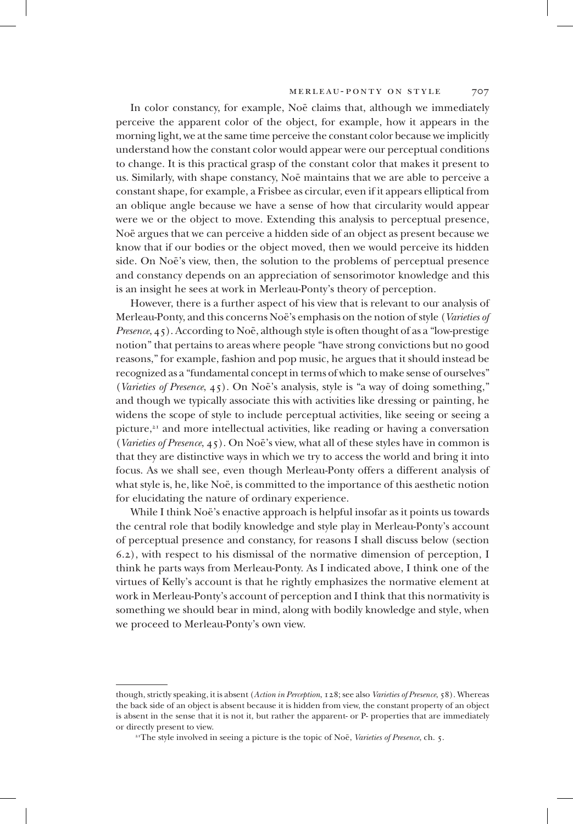In color constancy, for example, Noë claims that, although we immediately perceive the apparent color of the object, for example, how it appears in the morning light, we at the same time perceive the constant color because we implicitly understand how the constant color would appear were our perceptual conditions to change. It is this practical grasp of the constant color that makes it present to us. Similarly, with shape constancy, Noë maintains that we are able to perceive a constant shape, for example, a Frisbee as circular, even if it appears elliptical from an oblique angle because we have a sense of how that circularity would appear were we or the object to move. Extending this analysis to perceptual presence, Noë argues that we can perceive a hidden side of an object as present because we know that if our bodies or the object moved, then we would perceive its hidden side. On Noë's view, then, the solution to the problems of perceptual presence and constancy depends on an appreciation of sensorimotor knowledge and this is an insight he sees at work in Merleau-Ponty's theory of perception.

However, there is a further aspect of his view that is relevant to our analysis of Merleau-Ponty, and this concerns Noë's emphasis on the notion of style (*Varieties of Presence*, 45). According to Noë, although style is often thought of as a "low-prestige notion" that pertains to areas where people "have strong convictions but no good reasons," for example, fashion and pop music, he argues that it should instead be recognized as a "fundamental concept in terms of which to make sense of ourselves" (*Varieties of Presence*, 45). On Noë's analysis, style is "a way of doing something," and though we typically associate this with activities like dressing or painting, he widens the scope of style to include perceptual activities, like seeing or seeing a picture, $2<sup>1</sup>$  and more intellectual activities, like reading or having a conversation (*Varieties of Presence*, 45). On Noë's view, what all of these styles have in common is that they are distinctive ways in which we try to access the world and bring it into focus. As we shall see, even though Merleau-Ponty offers a different analysis of what style is, he, like Noë, is committed to the importance of this aesthetic notion for elucidating the nature of ordinary experience.

While I think Noë's enactive approach is helpful insofar as it points us towards the central role that bodily knowledge and style play in Merleau-Ponty's account of perceptual presence and constancy, for reasons I shall discuss below (section 6.2), with respect to his dismissal of the normative dimension of perception, I think he parts ways from Merleau-Ponty. As I indicated above, I think one of the virtues of Kelly's account is that he rightly emphasizes the normative element at work in Merleau-Ponty's account of perception and I think that this normativity is something we should bear in mind, along with bodily knowledge and style, when we proceed to Merleau-Ponty's own view.

though, strictly speaking, it is absent (*Action in Perception*, 128; see also *Varieties of Presence*, 58). Whereas the back side of an object is absent because it is hidden from view, the constant property of an object is absent in the sense that it is not it, but rather the apparent- or P- properties that are immediately or directly present to view.

<sup>&</sup>lt;sup>21</sup>The style involved in seeing a picture is the topic of Noë, *Varieties of Presence*, ch. 5.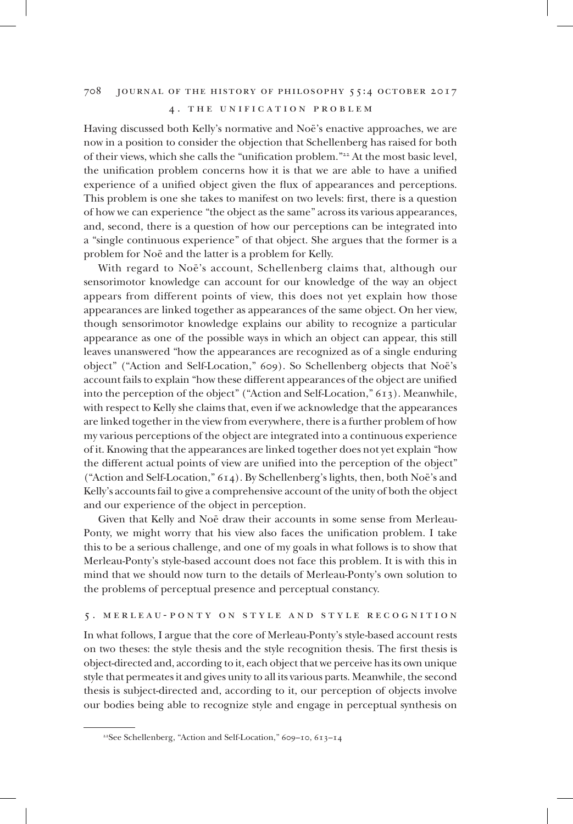#### 4 . the unification problem

Having discussed both Kelly's normative and Noë's enactive approaches, we are now in a position to consider the objection that Schellenberg has raised for both of their views, which she calls the "unification problem."<sup>22</sup> At the most basic level, the unification problem concerns how it is that we are able to have a unified experience of a unified object given the flux of appearances and perceptions. This problem is one she takes to manifest on two levels: first, there is a question of how we can experience "the object as the same" across its various appearances, and, second, there is a question of how our perceptions can be integrated into a "single continuous experience" of that object. She argues that the former is a problem for Noë and the latter is a problem for Kelly.

With regard to Noë's account, Schellenberg claims that, although our sensorimotor knowledge can account for our knowledge of the way an object appears from different points of view, this does not yet explain how those appearances are linked together as appearances of the same object. On her view, though sensorimotor knowledge explains our ability to recognize a particular appearance as one of the possible ways in which an object can appear, this still leaves unanswered "how the appearances are recognized as of a single enduring object" ("Action and Self-Location," 609). So Schellenberg objects that Noë's account fails to explain "how these different appearances of the object are unified into the perception of the object" ("Action and Self-Location," 613). Meanwhile, with respect to Kelly she claims that, even if we acknowledge that the appearances are linked together in the view from everywhere, there is a further problem of how my various perceptions of the object are integrated into a continuous experience of it. Knowing that the appearances are linked together does not yet explain "how the different actual points of view are unified into the perception of the object" ("Action and Self-Location," 614). By Schellenberg's lights, then, both Noë's and Kelly's accounts fail to give a comprehensive account of the unity of both the object and our experience of the object in perception.

Given that Kelly and Noë draw their accounts in some sense from Merleau-Ponty, we might worry that his view also faces the unification problem. I take this to be a serious challenge, and one of my goals in what follows is to show that Merleau-Ponty's style-based account does not face this problem. It is with this in mind that we should now turn to the details of Merleau-Ponty's own solution to the problems of perceptual presence and perceptual constancy.

## 5 . merleau-ponty on style and style recognition

In what follows, I argue that the core of Merleau-Ponty's style-based account rests on two theses: the style thesis and the style recognition thesis. The first thesis is object-directed and, according to it, each object that we perceive has its own unique style that permeates it and gives unity to all its various parts. Meanwhile, the second thesis is subject-directed and, according to it, our perception of objects involve our bodies being able to recognize style and engage in perceptual synthesis on

<sup>22</sup>See Schellenberg, "Action and Self-Location," 609–10, 613–14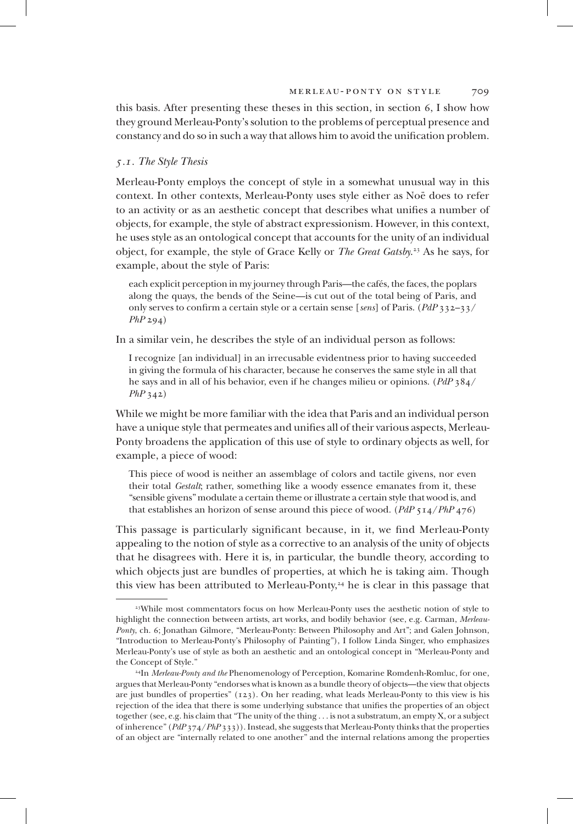this basis. After presenting these theses in this section, in section 6, I show how they ground Merleau-Ponty's solution to the problems of perceptual presence and constancy and do so in such a way that allows him to avoid the unification problem.

#### *5.1. The Style Thesis*

Merleau-Ponty employs the concept of style in a somewhat unusual way in this context. In other contexts, Merleau-Ponty uses style either as Noë does to refer to an activity or as an aesthetic concept that describes what unifies a number of objects, for example, the style of abstract expressionism. However, in this context, he uses style as an ontological concept that accounts for the unity of an individual object, for example, the style of Grace Kelly or *The Great Gatsby*. <sup>23</sup> As he says, for example, about the style of Paris:

each explicit perception in my journey through Paris—the cafés, the faces, the poplars along the quays, the bends of the Seine—is cut out of the total being of Paris, and only serves to confirm a certain style or a certain sense [*sens*] of Paris. (*PdP* 332–33/ *PhP* 294)

In a similar vein, he describes the style of an individual person as follows:

I recognize [an individual] in an irrecusable evidentness prior to having succeeded in giving the formula of his character, because he conserves the same style in all that he says and in all of his behavior, even if he changes milieu or opinions. (*PdP* 384/ *PhP* 342)

While we might be more familiar with the idea that Paris and an individual person have a unique style that permeates and unifies all of their various aspects, Merleau-Ponty broadens the application of this use of style to ordinary objects as well, for example, a piece of wood:

This piece of wood is neither an assemblage of colors and tactile givens, nor even their total *Gestalt*; rather, something like a woody essence emanates from it, these "sensible givens" modulate a certain theme or illustrate a certain style that wood is, and that establishes an horizon of sense around this piece of wood. (*PdP* 514/*PhP* 476)

This passage is particularly significant because, in it, we find Merleau-Ponty appealing to the notion of style as a corrective to an analysis of the unity of objects that he disagrees with. Here it is, in particular, the bundle theory, according to which objects just are bundles of properties, at which he is taking aim. Though this view has been attributed to Merleau-Ponty,<sup>24</sup> he is clear in this passage that

<sup>23</sup>While most commentators focus on how Merleau-Ponty uses the aesthetic notion of style to highlight the connection between artists, art works, and bodily behavior (see, e.g. Carman, *Merleau-Ponty*, ch. 6; Jonathan Gilmore, "Merleau-Ponty: Between Philosophy and Art"; and Galen Johnson, "Introduction to Merleau-Ponty's Philosophy of Painting"), I follow Linda Singer, who emphasizes Merleau-Ponty's use of style as both an aesthetic and an ontological concept in "Merleau-Ponty and the Concept of Style."

<sup>24</sup>In *Merleau-Ponty and the* Phenomenology of Perception, Komarine Romdenh-Romluc, for one, argues that Merleau-Ponty "endorses what is known as a bundle theory of objects—the view that objects are just bundles of properties" (123). On her reading, what leads Merleau-Ponty to this view is his rejection of the idea that there is some underlying substance that unifies the properties of an object together (see, e.g. his claim that "The unity of the thing . . . is not a substratum, an empty X, or a subject of inherence" (*PdP* 374/*PhP* 333)). Instead, she suggests that Merleau-Ponty thinks that the properties of an object are "internally related to one another" and the internal relations among the properties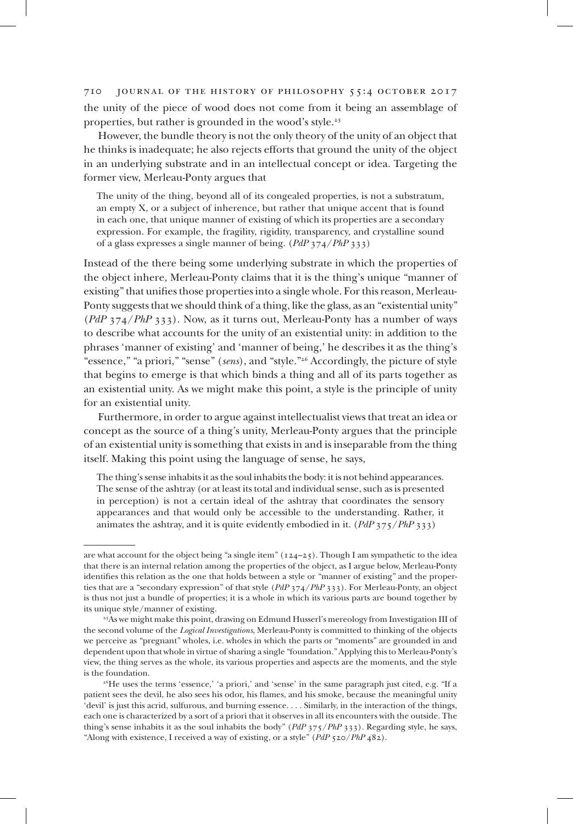710 journal of the history of philosophy 55:4 october 2017 the unity of the piece of wood does not come from it being an assemblage of properties, but rather is grounded in the wood's style.<sup>25</sup>

However, the bundle theory is not the only theory of the unity of an object that he thinks is inadequate; he also rejects efforts that ground the unity of the object in an underlying substrate and in an intellectual concept or idea. Targeting the former view, Merleau-Ponty argues that

The unity of the thing, beyond all of its congealed properties, is not a substratum, an empty X, or a subject of inherence, but rather that unique accent that is found in each one, that unique manner of existing of which its properties are a secondary expression. For example, the fragility, rigidity, transparency, and crystalline sound of a glass expresses a single manner of being. (*PdP* 374/*PhP* 333)

Instead of the there being some underlying substrate in which the properties of the object inhere, Merleau-Ponty claims that it is the thing's unique "manner of existing" that unifies those properties into a single whole. For this reason, Merleau-Ponty suggests that we should think of a thing, like the glass, as an "existential unity" (*PdP* 374/*PhP* 333). Now, as it turns out, Merleau-Ponty has a number of ways to describe what accounts for the unity of an existential unity: in addition to the phrases 'manner of existing' and 'manner of being,' he describes it as the thing's "essence," "a priori," "sense" (*sens*), and "style."<sup>26</sup> Accordingly, the picture of style that begins to emerge is that which binds a thing and all of its parts together as an existential unity. As we might make this point, a style is the principle of unity for an existential unity.

Furthermore, in order to argue against intellectualist views that treat an idea or concept as the source of a thing's unity, Merleau-Ponty argues that the principle of an existential unity is something that exists in and is inseparable from the thing itself. Making this point using the language of sense, he says,

The thing's sense inhabits it as the soul inhabits the body: it is not behind appearances. The sense of the ashtray (or at least its total and individual sense, such as is presented in perception) is not a certain ideal of the ashtray that coordinates the sensory appearances and that would only be accessible to the understanding. Rather, it animates the ashtray, and it is quite evidently embodied in it. (*PdP* 375/*PhP* 333)

are what account for the object being "a single item"  $(124-25)$ . Though I am sympathetic to the idea that there is an internal relation among the properties of the object, as I argue below, Merleau-Ponty identifies this relation as the one that holds between a style or "manner of existing" and the properties that are a "secondary expression" of that style (*PdP* 374/*PhP* 333). For Merleau-Ponty, an object is thus not just a bundle of properties; it is a whole in which its various parts are bound together by its unique style/manner of existing.

<sup>25</sup>As we might make this point, drawing on Edmund Husserl's mereology from Investigation III of the second volume of the *Logical Investigations*, Merleau-Ponty is committed to thinking of the objects we perceive as "pregnant" wholes, i.e. wholes in which the parts or "moments" are grounded in and dependent upon that whole in virtue of sharing a single "foundation." Applying this to Merleau-Ponty's view, the thing serves as the whole, its various properties and aspects are the moments, and the style is the foundation.

<sup>&</sup>lt;sup>26</sup>He uses the terms 'essence,' 'a priori,' and 'sense' in the same paragraph just cited, e.g. "If a patient sees the devil, he also sees his odor, his flames, and his smoke, because the meaningful unity 'devil' is just this acrid, sulfurous, and burning essence. . . . Similarly, in the interaction of the things, each one is characterized by a sort of a priori that it observes in all its encounters with the outside. The thing's sense inhabits it as the soul inhabits the body" (*PdP* 375/*PhP* 333). Regarding style, he says, "Along with existence, I received a way of existing, or a style" (*PdP* 520/*PhP* 482).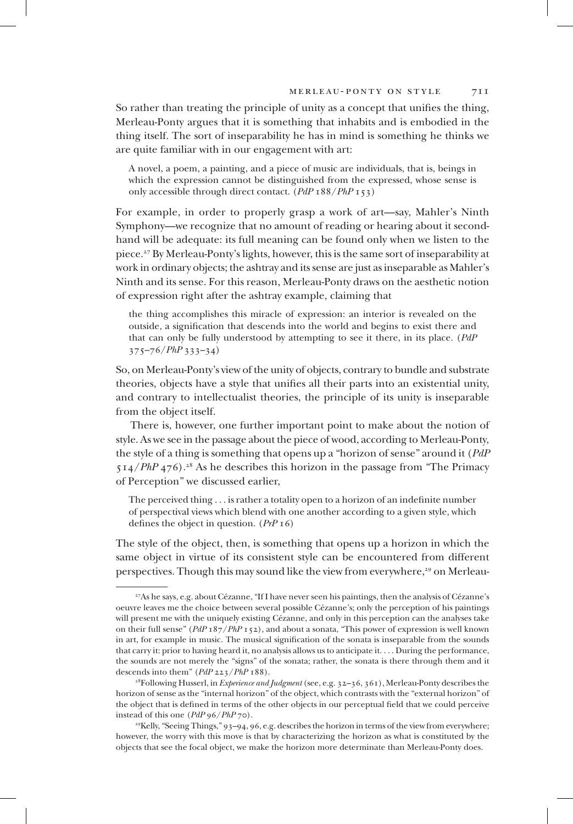So rather than treating the principle of unity as a concept that unifies the thing, Merleau-Ponty argues that it is something that inhabits and is embodied in the thing itself. The sort of inseparability he has in mind is something he thinks we are quite familiar with in our engagement with art:

A novel, a poem, a painting, and a piece of music are individuals, that is, beings in which the expression cannot be distinguished from the expressed, whose sense is only accessible through direct contact. (*PdP* 188/*PhP* 153)

For example, in order to properly grasp a work of art—say, Mahler's Ninth Symphony—we recognize that no amount of reading or hearing about it secondhand will be adequate: its full meaning can be found only when we listen to the piece.<sup>27</sup> By Merleau-Ponty's lights, however, this is the same sort of inseparability at work in ordinary objects; the ashtray and its sense are just as inseparable as Mahler's Ninth and its sense. For this reason, Merleau-Ponty draws on the aesthetic notion of expression right after the ashtray example, claiming that

the thing accomplishes this miracle of expression: an interior is revealed on the outside, a signification that descends into the world and begins to exist there and that can only be fully understood by attempting to see it there, in its place. (*PdP* 375–76/*PhP* 333–34)

So, on Merleau-Ponty's view of the unity of objects, contrary to bundle and substrate theories, objects have a style that unifies all their parts into an existential unity, and contrary to intellectualist theories, the principle of its unity is inseparable from the object itself.

There is, however, one further important point to make about the notion of style. As we see in the passage about the piece of wood, according to Merleau-Ponty, the style of a thing is something that opens up a "horizon of sense" around it (*PdP* 514/*PhP* 476).<sup>28</sup> As he describes this horizon in the passage from "The Primacy of Perception" we discussed earlier,

The perceived thing . . . is rather a totality open to a horizon of an indefinite number of perspectival views which blend with one another according to a given style, which defines the object in question. (*PrP* 16)

The style of the object, then, is something that opens up a horizon in which the same object in virtue of its consistent style can be encountered from different perspectives. Though this may sound like the view from everywhere,<sup>29</sup> on Merleau-

<sup>29</sup>Kelly, "Seeing Things," 93–94, 96, e.g. describes the horizon in terms of the view from everywhere; however, the worry with this move is that by characterizing the horizon as what is constituted by the objects that see the focal object, we make the horizon more determinate than Merleau-Ponty does.

<sup>27</sup>As he says, e.g. about Cézanne, "If I have never seen his paintings, then the analysis of Cézanne's oeuvre leaves me the choice between several possible Cézanne's; only the perception of his paintings will present me with the uniquely existing Cézanne, and only in this perception can the analyses take on their full sense" (*PdP* 187/*PhP* 152), and about a sonata, "This power of expression is well known in art, for example in music. The musical signification of the sonata is inseparable from the sounds that carry it: prior to having heard it, no analysis allows us to anticipate it. . . . During the performance, the sounds are not merely the "signs" of the sonata; rather, the sonata is there through them and it descends into them" (*PdP* 223/*PhP* 188).

<sup>28</sup>Following Husserl, in *Experience and Judgment* (see, e.g. 32–36, 361), Merleau-Ponty describes the horizon of sense as the "internal horizon" of the object, which contrasts with the "external horizon" of the object that is defined in terms of the other objects in our perceptual field that we could perceive instead of this one (*PdP* 96/*PhP* 70).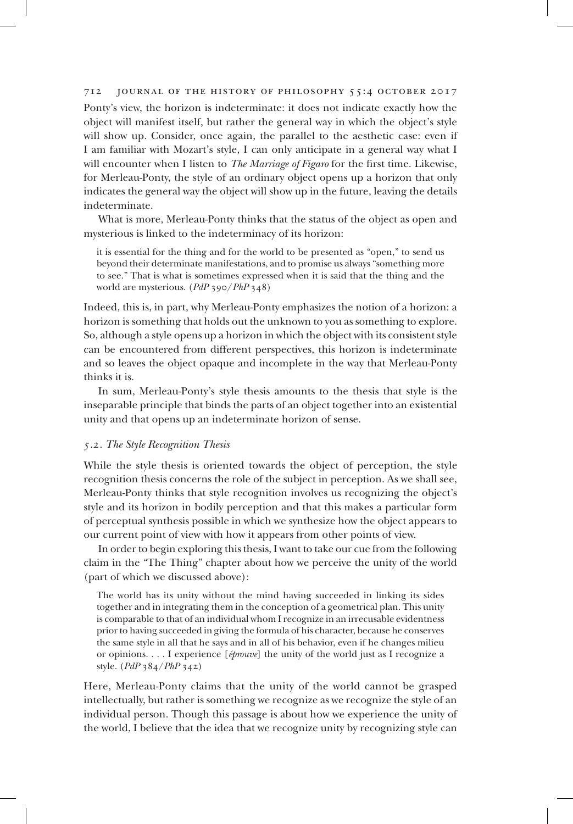Ponty's view, the horizon is indeterminate: it does not indicate exactly how the object will manifest itself, but rather the general way in which the object's style will show up. Consider, once again, the parallel to the aesthetic case: even if I am familiar with Mozart's style, I can only anticipate in a general way what I will encounter when I listen to *The Marriage of Figaro* for the first time. Likewise, for Merleau-Ponty, the style of an ordinary object opens up a horizon that only indicates the general way the object will show up in the future, leaving the details indeterminate.

What is more, Merleau-Ponty thinks that the status of the object as open and mysterious is linked to the indeterminacy of its horizon:

it is essential for the thing and for the world to be presented as "open," to send us beyond their determinate manifestations, and to promise us always "something more to see." That is what is sometimes expressed when it is said that the thing and the world are mysterious. (*PdP* 390/*PhP* 348)

Indeed, this is, in part, why Merleau-Ponty emphasizes the notion of a horizon: a horizon is something that holds out the unknown to you as something to explore. So, although a style opens up a horizon in which the object with its consistent style can be encountered from different perspectives, this horizon is indeterminate and so leaves the object opaque and incomplete in the way that Merleau-Ponty thinks it is.

In sum, Merleau-Ponty's style thesis amounts to the thesis that style is the inseparable principle that binds the parts of an object together into an existential unity and that opens up an indeterminate horizon of sense.

#### *5.2. The Style Recognition Thesis*

While the style thesis is oriented towards the object of perception, the style recognition thesis concerns the role of the subject in perception. As we shall see, Merleau-Ponty thinks that style recognition involves us recognizing the object's style and its horizon in bodily perception and that this makes a particular form of perceptual synthesis possible in which we synthesize how the object appears to our current point of view with how it appears from other points of view.

In order to begin exploring this thesis, I want to take our cue from the following claim in the "The Thing" chapter about how we perceive the unity of the world (part of which we discussed above):

The world has its unity without the mind having succeeded in linking its sides together and in integrating them in the conception of a geometrical plan. This unity is comparable to that of an individual whom I recognize in an irrecusable evidentness prior to having succeeded in giving the formula of his character, because he conserves the same style in all that he says and in all of his behavior, even if he changes milieu or opinions. . . . I experience [*éprouve*] the unity of the world just as I recognize a style. (*PdP* 384/*PhP* 342)

Here, Merleau-Ponty claims that the unity of the world cannot be grasped intellectually, but rather is something we recognize as we recognize the style of an individual person. Though this passage is about how we experience the unity of the world, I believe that the idea that we recognize unity by recognizing style can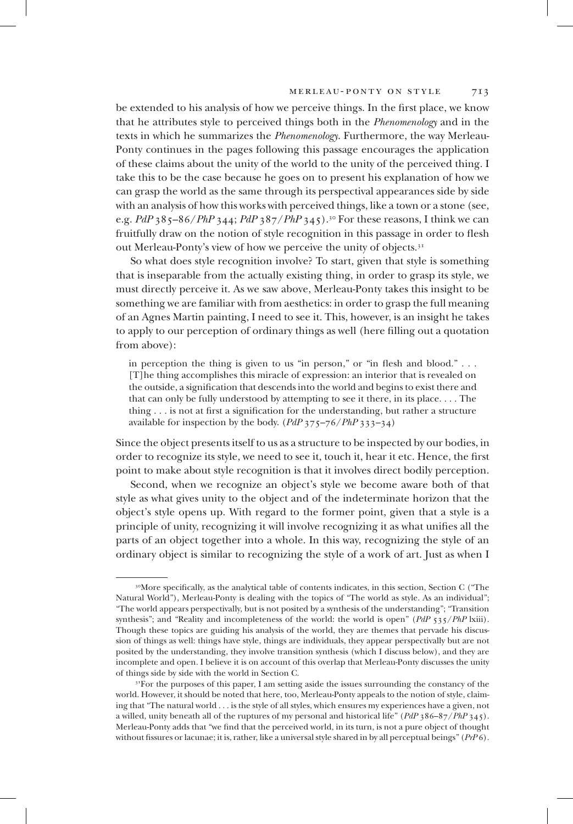be extended to his analysis of how we perceive things. In the first place, we know that he attributes style to perceived things both in the *Phenomenology* and in the texts in which he summarizes the *Phenomenology*. Furthermore, the way Merleau-Ponty continues in the pages following this passage encourages the application of these claims about the unity of the world to the unity of the perceived thing. I take this to be the case because he goes on to present his explanation of how we can grasp the world as the same through its perspectival appearances side by side with an analysis of how this works with perceived things, like a town or a stone (see, e.g. *PdP* 385–86/*PhP* 344; *PdP* 387/*PhP* 345).<sup>30</sup> For these reasons, I think we can fruitfully draw on the notion of style recognition in this passage in order to flesh out Merleau-Ponty's view of how we perceive the unity of objects.<sup>31</sup>

So what does style recognition involve? To start, given that style is something that is inseparable from the actually existing thing, in order to grasp its style, we must directly perceive it. As we saw above, Merleau-Ponty takes this insight to be something we are familiar with from aesthetics: in order to grasp the full meaning of an Agnes Martin painting, I need to see it. This, however, is an insight he takes to apply to our perception of ordinary things as well (here filling out a quotation from above):

in perception the thing is given to us "in person," or "in flesh and blood." . . . [T]he thing accomplishes this miracle of expression: an interior that is revealed on the outside, a signification that descends into the world and begins to exist there and that can only be fully understood by attempting to see it there, in its place. . . . The thing . . . is not at first a signification for the understanding, but rather a structure available for inspection by the body. (*PdP* 375–76/*PhP* 333–34)

Since the object presents itself to us as a structure to be inspected by our bodies, in order to recognize its style, we need to see it, touch it, hear it etc. Hence, the first point to make about style recognition is that it involves direct bodily perception.

Second, when we recognize an object's style we become aware both of that style as what gives unity to the object and of the indeterminate horizon that the object's style opens up. With regard to the former point, given that a style is a principle of unity, recognizing it will involve recognizing it as what unifies all the parts of an object together into a whole. In this way, recognizing the style of an ordinary object is similar to recognizing the style of a work of art. Just as when I

<sup>&</sup>lt;sup>30</sup>More specifically, as the analytical table of contents indicates, in this section, Section C ("The Natural World"), Merleau-Ponty is dealing with the topics of "The world as style. As an individual"; "The world appears perspectivally, but is not posited by a synthesis of the understanding"; "Transition synthesis"; and "Reality and incompleteness of the world: the world is open" (*PdP* 535/*PhP* lxiii). Though these topics are guiding his analysis of the world, they are themes that pervade his discussion of things as well: things have style, things are individuals, they appear perspectivally but are not posited by the understanding, they involve transition synthesis (which I discuss below), and they are incomplete and open. I believe it is on account of this overlap that Merleau-Ponty discusses the unity of things side by side with the world in Section C.

<sup>&</sup>lt;sup>31</sup>For the purposes of this paper, I am setting aside the issues surrounding the constancy of the world. However, it should be noted that here, too, Merleau-Ponty appeals to the notion of style, claiming that "The natural world . . . is the style of all styles, which ensures my experiences have a given, not a willed, unity beneath all of the ruptures of my personal and historical life" (*PdP* 386–87/*PhP* 345). Merleau-Ponty adds that "we find that the perceived world, in its turn, is not a pure object of thought without fissures or lacunae; it is, rather, like a universal style shared in by all perceptual beings" (*PrP* 6).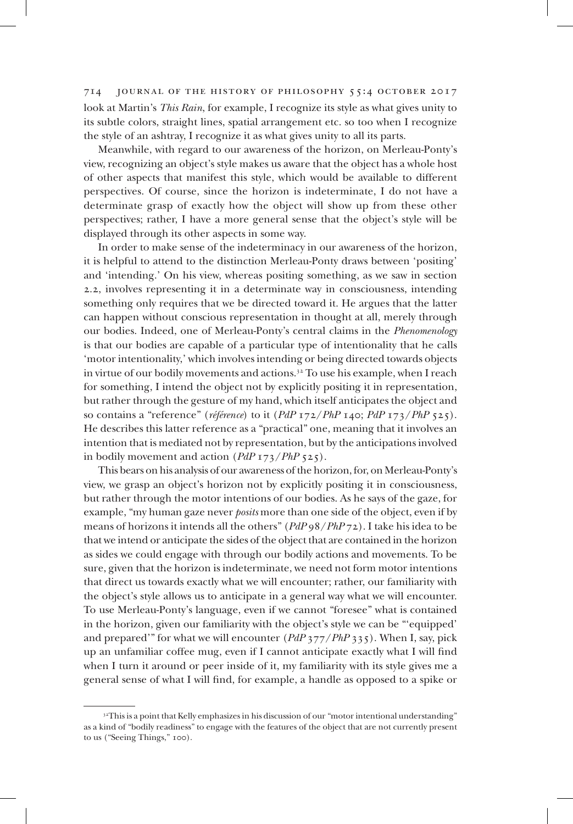714 journal of the history of philosophy 55:4 october 2017 look at Martin's *This Rain*, for example, I recognize its style as what gives unity to its subtle colors, straight lines, spatial arrangement etc. so too when I recognize the style of an ashtray, I recognize it as what gives unity to all its parts.

Meanwhile, with regard to our awareness of the horizon, on Merleau-Ponty's view, recognizing an object's style makes us aware that the object has a whole host of other aspects that manifest this style, which would be available to different perspectives. Of course, since the horizon is indeterminate, I do not have a determinate grasp of exactly how the object will show up from these other perspectives; rather, I have a more general sense that the object's style will be displayed through its other aspects in some way.

In order to make sense of the indeterminacy in our awareness of the horizon, it is helpful to attend to the distinction Merleau-Ponty draws between 'positing' and 'intending.' On his view, whereas positing something, as we saw in section 2.2, involves representing it in a determinate way in consciousness, intending something only requires that we be directed toward it. He argues that the latter can happen without conscious representation in thought at all, merely through our bodies. Indeed, one of Merleau-Ponty's central claims in the *Phenomenology*  is that our bodies are capable of a particular type of intentionality that he calls 'motor intentionality,' which involves intending or being directed towards objects in virtue of our bodily movements and actions.<sup>32</sup> To use his example, when I reach for something, I intend the object not by explicitly positing it in representation, but rather through the gesture of my hand, which itself anticipates the object and so contains a "reference" (*référence*) to it (*PdP* 172/*PhP* 140; *PdP* 173/*PhP* 525). He describes this latter reference as a "practical" one, meaning that it involves an intention that is mediated not by representation, but by the anticipations involved in bodily movement and action (*PdP* 173/*PhP* 525).

This bears on his analysis of our awareness of the horizon, for, on Merleau-Ponty's view, we grasp an object's horizon not by explicitly positing it in consciousness, but rather through the motor intentions of our bodies. As he says of the gaze, for example, "my human gaze never *posits* more than one side of the object, even if by means of horizons it intends all the others" (*PdP* 98/*PhP* 72). I take his idea to be that we intend or anticipate the sides of the object that are contained in the horizon as sides we could engage with through our bodily actions and movements. To be sure, given that the horizon is indeterminate, we need not form motor intentions that direct us towards exactly what we will encounter; rather, our familiarity with the object's style allows us to anticipate in a general way what we will encounter. To use Merleau-Ponty's language, even if we cannot "foresee" what is contained in the horizon, given our familiarity with the object's style we can be "'equipped' and prepared'" for what we will encounter (*PdP* 377/*PhP* 335). When I, say, pick up an unfamiliar coffee mug, even if I cannot anticipate exactly what I will find when I turn it around or peer inside of it, my familiarity with its style gives me a general sense of what I will find, for example, a handle as opposed to a spike or

<sup>&</sup>lt;sup>32</sup>This is a point that Kelly emphasizes in his discussion of our "motor intentional understanding" as a kind of "bodily readiness" to engage with the features of the object that are not currently present to us ("Seeing Things," 100).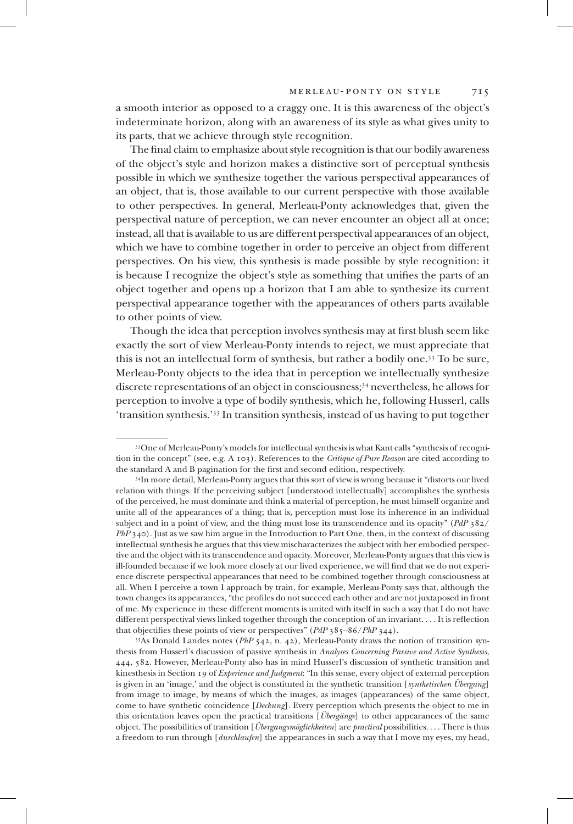a smooth interior as opposed to a craggy one. It is this awareness of the object's indeterminate horizon, along with an awareness of its style as what gives unity to its parts, that we achieve through style recognition.

The final claim to emphasize about style recognition is that our bodily awareness of the object's style and horizon makes a distinctive sort of perceptual synthesis possible in which we synthesize together the various perspectival appearances of an object, that is, those available to our current perspective with those available to other perspectives. In general, Merleau-Ponty acknowledges that, given the perspectival nature of perception, we can never encounter an object all at once; instead, all that is available to us are different perspectival appearances of an object, which we have to combine together in order to perceive an object from different perspectives. On his view, this synthesis is made possible by style recognition: it is because I recognize the object's style as something that unifies the parts of an object together and opens up a horizon that I am able to synthesize its current perspectival appearance together with the appearances of others parts available to other points of view.

Though the idea that perception involves synthesis may at first blush seem like exactly the sort of view Merleau-Ponty intends to reject, we must appreciate that this is not an intellectual form of synthesis, but rather a bodily one.<sup>33</sup> To be sure, Merleau-Ponty objects to the idea that in perception we intellectually synthesize discrete representations of an object in consciousness;<sup>34</sup> nevertheless, he allows for perception to involve a type of bodily synthesis, which he, following Husserl, calls 'transition synthesis.'<sup>35</sup> In transition synthesis, instead of us having to put together

<sup>33</sup>One of Merleau-Ponty's models for intellectual synthesis is what Kant calls "synthesis of recognition in the concept" (see, e.g. A 103). References to the *Critique of Pure Reason* are cited according to the standard A and B pagination for the first and second edition, respectively.

<sup>34</sup>In more detail, Merleau-Ponty argues that this sort of view is wrong because it "distorts our lived relation with things. If the perceiving subject [understood intellectually] accomplishes the synthesis of the perceived, he must dominate and think a material of perception, he must himself organize and unite all of the appearances of a thing; that is, perception must lose its inherence in an individual subject and in a point of view, and the thing must lose its transcendence and its opacity" (*PdP* 382/ *PhP* 340). Just as we saw him argue in the Introduction to Part One, then, in the context of discussing intellectual synthesis he argues that this view mischaracterizes the subject with her embodied perspective and the object with its transcendence and opacity. Moreover, Merleau-Ponty argues that this view is ill-founded because if we look more closely at our lived experience, we will find that we do not experience discrete perspectival appearances that need to be combined together through consciousness at all. When I perceive a town I approach by train, for example, Merleau-Ponty says that, although the town changes its appearances, "the profiles do not succeed each other and are not juxtaposed in front of me. My experience in these different moments is united with itself in such a way that I do not have different perspectival views linked together through the conception of an invariant. . . . It is reflection that objectifies these points of view or perspectives" (*PdP* 385–86/*PhP* 344).

<sup>35</sup>As Donald Landes notes (*PhP* 542, n. 42), Merleau-Ponty draws the notion of transition synthesis from Husserl's discussion of passive synthesis in *Analyses Concerning Passive and Active Synthesis*, 444, 582. However, Merleau-Ponty also has in mind Husserl's discussion of synthetic transition and kinesthesis in Section 19 of *Experience and Judgment*: "In this sense, every object of external perception is given in an 'image,' and the object is constituted in the synthetic transition [*synthetischen Übergang*] from image to image, by means of which the images, as images (appearances) of the same object, come to have synthetic coincidence [*Deckung*]. Every perception which presents the object to me in this orientation leaves open the practical transitions [*Übergänge*] to other appearances of the same object. The possibilities of transition [*Übergangsmöglichkeiten*] are *practical* possibilities. . . . There is thus a freedom to run through [*durchlaufen*] the appearances in such a way that I move my eyes, my head,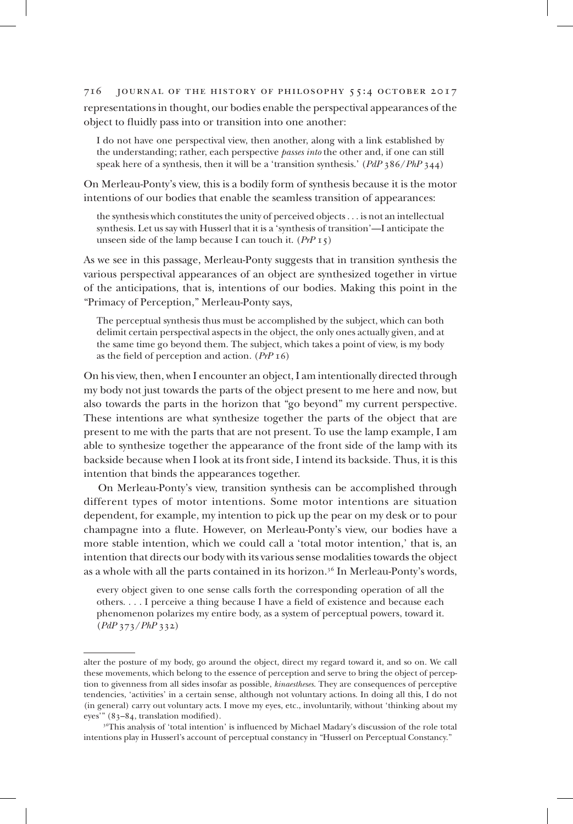representations in thought, our bodies enable the perspectival appearances of the object to fluidly pass into or transition into one another:

I do not have one perspectival view, then another, along with a link established by the understanding; rather, each perspective *passes into* the other and, if one can still speak here of a synthesis, then it will be a 'transition synthesis.' (*PdP* 386/*PhP* 344)

On Merleau-Ponty's view, this is a bodily form of synthesis because it is the motor intentions of our bodies that enable the seamless transition of appearances:

the synthesis which constitutes the unity of perceived objects . . . is not an intellectual synthesis. Let us say with Husserl that it is a 'synthesis of transition'—I anticipate the unseen side of the lamp because I can touch it. (*PrP* 15)

As we see in this passage, Merleau-Ponty suggests that in transition synthesis the various perspectival appearances of an object are synthesized together in virtue of the anticipations, that is, intentions of our bodies. Making this point in the "Primacy of Perception," Merleau-Ponty says,

The perceptual synthesis thus must be accomplished by the subject, which can both delimit certain perspectival aspects in the object, the only ones actually given, and at the same time go beyond them. The subject, which takes a point of view, is my body as the field of perception and action. (*PrP* 16)

On his view, then, when I encounter an object, I am intentionally directed through my body not just towards the parts of the object present to me here and now, but also towards the parts in the horizon that "go beyond" my current perspective. These intentions are what synthesize together the parts of the object that are present to me with the parts that are not present. To use the lamp example, I am able to synthesize together the appearance of the front side of the lamp with its backside because when I look at its front side, I intend its backside. Thus, it is this intention that binds the appearances together.

On Merleau-Ponty's view, transition synthesis can be accomplished through different types of motor intentions. Some motor intentions are situation dependent, for example, my intention to pick up the pear on my desk or to pour champagne into a flute. However, on Merleau-Ponty's view, our bodies have a more stable intention, which we could call a 'total motor intention,' that is, an intention that directs our body with its various sense modalities towards the object as a whole with all the parts contained in its horizon.<sup>36</sup> In Merleau-Ponty's words,

every object given to one sense calls forth the corresponding operation of all the others. . . . I perceive a thing because I have a field of existence and because each phenomenon polarizes my entire body, as a system of perceptual powers, toward it. (*PdP* 373/*PhP* 332)

alter the posture of my body, go around the object, direct my regard toward it, and so on. We call these movements, which belong to the essence of perception and serve to bring the object of perception to givenness from all sides insofar as possible, *kinaestheses*. They are consequences of perceptive tendencies, 'activities' in a certain sense, although not voluntary actions. In doing all this, I do not (in general) carry out voluntary acts. I move my eyes, etc., involuntarily, without 'thinking about my eyes'" (83–84, translation modified).

<sup>36</sup>This analysis of 'total intention' is influenced by Michael Madary's discussion of the role total intentions play in Husserl's account of perceptual constancy in "Husserl on Perceptual Constancy."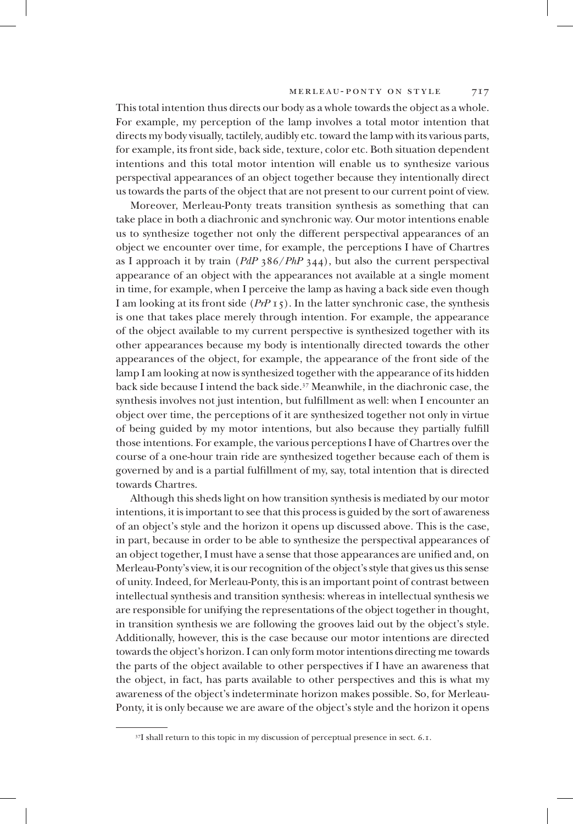This total intention thus directs our body as a whole towards the object as a whole. For example, my perception of the lamp involves a total motor intention that directs my body visually, tactilely, audibly etc. toward the lamp with its various parts, for example, its front side, back side, texture, color etc. Both situation dependent intentions and this total motor intention will enable us to synthesize various perspectival appearances of an object together because they intentionally direct us towards the parts of the object that are not present to our current point of view.

Moreover, Merleau-Ponty treats transition synthesis as something that can take place in both a diachronic and synchronic way. Our motor intentions enable us to synthesize together not only the different perspectival appearances of an object we encounter over time, for example, the perceptions I have of Chartres as I approach it by train (*PdP* 386/*PhP* 344), but also the current perspectival appearance of an object with the appearances not available at a single moment in time, for example, when I perceive the lamp as having a back side even though I am looking at its front side (*PrP* 15). In the latter synchronic case, the synthesis is one that takes place merely through intention. For example, the appearance of the object available to my current perspective is synthesized together with its other appearances because my body is intentionally directed towards the other appearances of the object, for example, the appearance of the front side of the lamp I am looking at now is synthesized together with the appearance of its hidden back side because I intend the back side.<sup>37</sup> Meanwhile, in the diachronic case, the synthesis involves not just intention, but fulfillment as well: when I encounter an object over time, the perceptions of it are synthesized together not only in virtue of being guided by my motor intentions, but also because they partially fulfill those intentions. For example, the various perceptions I have of Chartres over the course of a one-hour train ride are synthesized together because each of them is governed by and is a partial fulfillment of my, say, total intention that is directed towards Chartres.

Although this sheds light on how transition synthesis is mediated by our motor intentions, it is important to see that this process is guided by the sort of awareness of an object's style and the horizon it opens up discussed above. This is the case, in part, because in order to be able to synthesize the perspectival appearances of an object together, I must have a sense that those appearances are unified and, on Merleau-Ponty's view, it is our recognition of the object's style that gives us this sense of unity. Indeed, for Merleau-Ponty, this is an important point of contrast between intellectual synthesis and transition synthesis: whereas in intellectual synthesis we are responsible for unifying the representations of the object together in thought, in transition synthesis we are following the grooves laid out by the object's style. Additionally, however, this is the case because our motor intentions are directed towards the object's horizon. I can only form motor intentions directing me towards the parts of the object available to other perspectives if I have an awareness that the object, in fact, has parts available to other perspectives and this is what my awareness of the object's indeterminate horizon makes possible. So, for Merleau-Ponty, it is only because we are aware of the object's style and the horizon it opens

<sup>&</sup>lt;sup>37</sup>I shall return to this topic in my discussion of perceptual presence in sect. 6.1.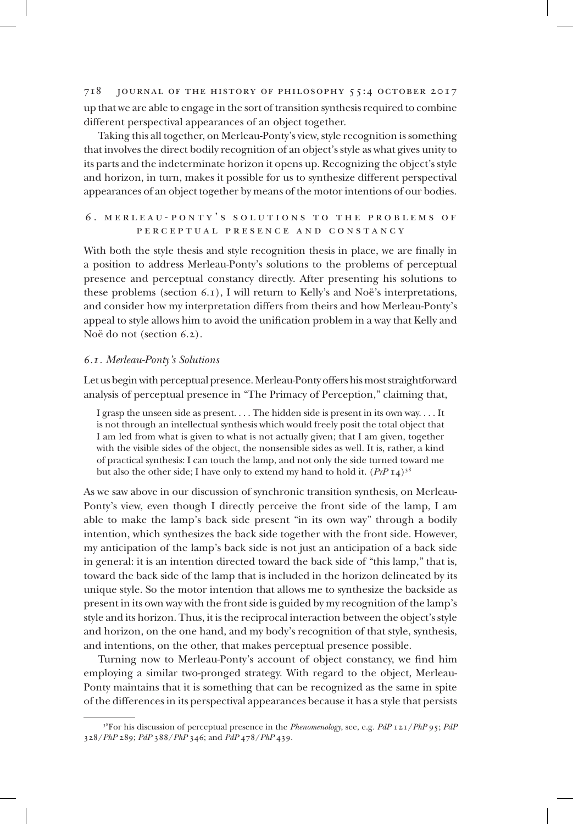718 journal of the history of philosophy 55:4 october 2017 up that we are able to engage in the sort of transition synthesis required to combine different perspectival appearances of an object together.

Taking this all together, on Merleau-Ponty's view, style recognition is something that involves the direct bodily recognition of an object's style as what gives unity to its parts and the indeterminate horizon it opens up. Recognizing the object's style and horizon, in turn, makes it possible for us to synthesize different perspectival appearances of an object together by means of the motor intentions of our bodies.

## 6. MERLEAU-PONTY'S SOLUTIONS TO THE PROBLEMS OF perceptual presence and constancy

With both the style thesis and style recognition thesis in place, we are finally in a position to address Merleau-Ponty's solutions to the problems of perceptual presence and perceptual constancy directly. After presenting his solutions to these problems (section  $(6.1)$ , I will return to Kelly's and Noë's interpretations, and consider how my interpretation differs from theirs and how Merleau-Ponty's appeal to style allows him to avoid the unification problem in a way that Kelly and Noë do not (section 6.2).

## *6.1. Merleau-Ponty's Solutions*

Let us begin with perceptual presence. Merleau-Ponty offers his most straightforward analysis of perceptual presence in "The Primacy of Perception," claiming that,

I grasp the unseen side as present. . . . The hidden side is present in its own way. . . . It is not through an intellectual synthesis which would freely posit the total object that I am led from what is given to what is not actually given; that I am given, together with the visible sides of the object, the nonsensible sides as well. It is, rather, a kind of practical synthesis: I can touch the lamp, and not only the side turned toward me but also the other side; I have only to extend my hand to hold it.  $(PrP I4)^{38}$ 

As we saw above in our discussion of synchronic transition synthesis, on Merleau-Ponty's view, even though I directly perceive the front side of the lamp, I am able to make the lamp's back side present "in its own way" through a bodily intention, which synthesizes the back side together with the front side. However, my anticipation of the lamp's back side is not just an anticipation of a back side in general: it is an intention directed toward the back side of "this lamp," that is, toward the back side of the lamp that is included in the horizon delineated by its unique style. So the motor intention that allows me to synthesize the backside as present in its own way with the front side is guided by my recognition of the lamp's style and its horizon. Thus, it is the reciprocal interaction between the object's style and horizon, on the one hand, and my body's recognition of that style, synthesis, and intentions, on the other, that makes perceptual presence possible.

Turning now to Merleau-Ponty's account of object constancy, we find him employing a similar two-pronged strategy. With regard to the object, Merleau-Ponty maintains that it is something that can be recognized as the same in spite of the differences in its perspectival appearances because it has a style that persists

<sup>38</sup>For his discussion of perceptual presence in the *Phenomenology*, see, e.g. *PdP* 121/*PhP* 95; *PdP* 328/*PhP* 289; *PdP* 388/*PhP* 346; and *PdP* 478/*PhP* 439.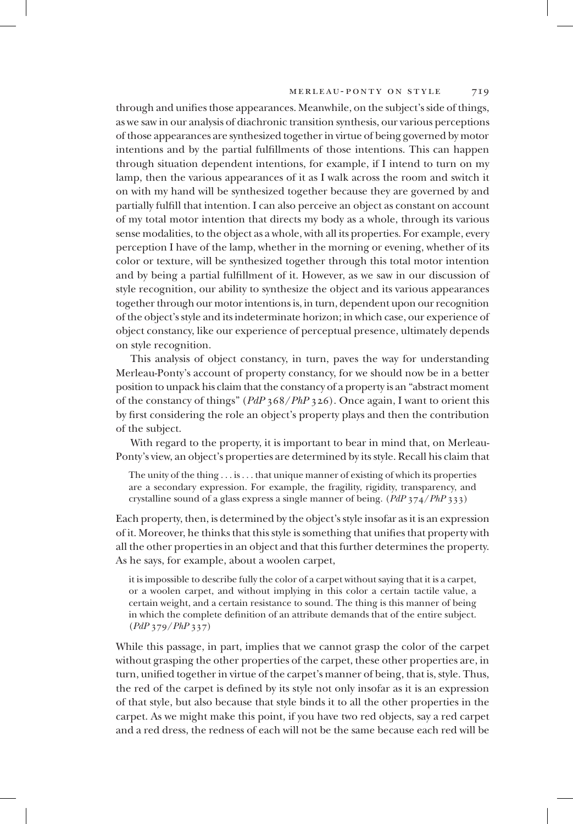through and unifies those appearances. Meanwhile, on the subject's side of things, as we saw in our analysis of diachronic transition synthesis, our various perceptions of those appearances are synthesized together in virtue of being governed by motor intentions and by the partial fulfillments of those intentions. This can happen through situation dependent intentions, for example, if I intend to turn on my lamp, then the various appearances of it as I walk across the room and switch it on with my hand will be synthesized together because they are governed by and partially fulfill that intention. I can also perceive an object as constant on account of my total motor intention that directs my body as a whole, through its various sense modalities, to the object as a whole, with all its properties. For example, every perception I have of the lamp, whether in the morning or evening, whether of its color or texture, will be synthesized together through this total motor intention and by being a partial fulfillment of it. However, as we saw in our discussion of style recognition, our ability to synthesize the object and its various appearances together through our motor intentions is, in turn, dependent upon our recognition of the object's style and its indeterminate horizon; in which case, our experience of object constancy, like our experience of perceptual presence, ultimately depends on style recognition.

This analysis of object constancy, in turn, paves the way for understanding Merleau-Ponty's account of property constancy, for we should now be in a better position to unpack his claim that the constancy of a property is an "abstract moment of the constancy of things" (*PdP* 368/*PhP* 326). Once again, I want to orient this by first considering the role an object's property plays and then the contribution of the subject.

With regard to the property, it is important to bear in mind that, on Merleau-Ponty's view, an object's properties are determined by its style. Recall his claim that

The unity of the thing . . . is . . . that unique manner of existing of which its properties are a secondary expression. For example, the fragility, rigidity, transparency, and crystalline sound of a glass express a single manner of being. (*PdP* 374/*PhP* 333)

Each property, then, is determined by the object's style insofar as it is an expression of it. Moreover, he thinks that this style is something that unifies that property with all the other properties in an object and that this further determines the property. As he says, for example, about a woolen carpet,

it is impossible to describe fully the color of a carpet without saying that it is a carpet, or a woolen carpet, and without implying in this color a certain tactile value, a certain weight, and a certain resistance to sound. The thing is this manner of being in which the complete definition of an attribute demands that of the entire subject. (*PdP* 379/*PhP* 337)

While this passage, in part, implies that we cannot grasp the color of the carpet without grasping the other properties of the carpet, these other properties are, in turn, unified together in virtue of the carpet's manner of being, that is, style. Thus, the red of the carpet is defined by its style not only insofar as it is an expression of that style, but also because that style binds it to all the other properties in the carpet. As we might make this point, if you have two red objects, say a red carpet and a red dress, the redness of each will not be the same because each red will be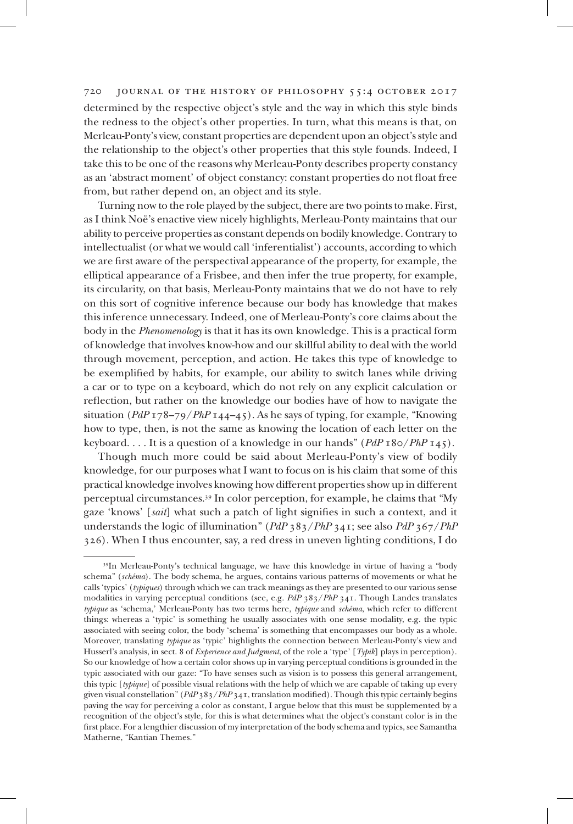## 720 journal of the history of philosophy 55:4 october 2017 determined by the respective object's style and the way in which this style binds the redness to the object's other properties. In turn, what this means is that, on Merleau-Ponty's view, constant properties are dependent upon an object's style and the relationship to the object's other properties that this style founds. Indeed, I take this to be one of the reasons why Merleau-Ponty describes property constancy as an 'abstract moment' of object constancy: constant properties do not float free from, but rather depend on, an object and its style.

Turning now to the role played by the subject, there are two points to make. First, as I think Noë's enactive view nicely highlights, Merleau-Ponty maintains that our ability to perceive properties as constant depends on bodily knowledge. Contrary to intellectualist (or what we would call 'inferentialist') accounts, according to which we are first aware of the perspectival appearance of the property, for example, the elliptical appearance of a Frisbee, and then infer the true property, for example, its circularity, on that basis, Merleau-Ponty maintains that we do not have to rely on this sort of cognitive inference because our body has knowledge that makes this inference unnecessary. Indeed, one of Merleau-Ponty's core claims about the body in the *Phenomenology* is that it has its own knowledge. This is a practical form of knowledge that involves know-how and our skillful ability to deal with the world through movement, perception, and action. He takes this type of knowledge to be exemplified by habits, for example, our ability to switch lanes while driving a car or to type on a keyboard, which do not rely on any explicit calculation or reflection, but rather on the knowledge our bodies have of how to navigate the situation (*PdP* 178–79/*PhP* 144–45). As he says of typing, for example, "Knowing how to type, then, is not the same as knowing the location of each letter on the keyboard. . . . It is a question of a knowledge in our hands" (*PdP* 180/*PhP* 145).

Though much more could be said about Merleau-Ponty's view of bodily knowledge, for our purposes what I want to focus on is his claim that some of this practical knowledge involves knowing how different properties show up in different perceptual circumstances.<sup>39</sup> In color perception, for example, he claims that "My gaze 'knows' [*sait*] what such a patch of light signifies in such a context, and it understands the logic of illumination" (*PdP* 383/*PhP* 341; see also *PdP* 367/*PhP* 326). When I thus encounter, say, a red dress in uneven lighting conditions, I do

<sup>39</sup>In Merleau-Ponty's technical language, we have this knowledge in virtue of having a "body schema" (*schéma*). The body schema, he argues, contains various patterns of movements or what he calls 'typics' (*typiques*) through which we can track meanings as they are presented to our various sense modalities in varying perceptual conditions (see, e.g. *PdP* 383/*PhP* 341. Though Landes translates *typique* as 'schema,' Merleau-Ponty has two terms here, *typique* and *schéma*, which refer to different things: whereas a 'typic' is something he usually associates with one sense modality, e.g. the typic associated with seeing color, the body 'schema' is something that encompasses our body as a whole. Moreover, translating *typique* as 'typic' highlights the connection between Merleau-Ponty's view and Husserl's analysis, in sect. 8 of *Experience and Judgment*, of the role a 'type' [*Typik*] plays in perception). So our knowledge of how a certain color shows up in varying perceptual conditions is grounded in the typic associated with our gaze: "To have senses such as vision is to possess this general arrangement, this typic [*typique*] of possible visual relations with the help of which we are capable of taking up every given visual constellation" (*PdP* 383/*PhP* 341, translation modified). Though this typic certainly begins paving the way for perceiving a color as constant, I argue below that this must be supplemented by a recognition of the object's style, for this is what determines what the object's constant color is in the first place. For a lengthier discussion of my interpretation of the body schema and typics, see Samantha Matherne, "Kantian Themes."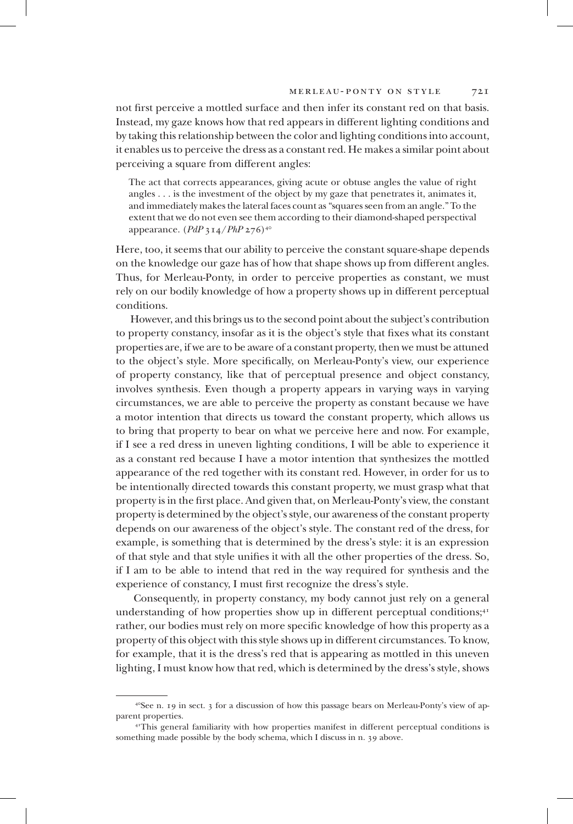not first perceive a mottled surface and then infer its constant red on that basis. Instead, my gaze knows how that red appears in different lighting conditions and by taking this relationship between the color and lighting conditions into account, it enables us to perceive the dress as a constant red. He makes a similar point about perceiving a square from different angles:

The act that corrects appearances, giving acute or obtuse angles the value of right angles . . . is the investment of the object by my gaze that penetrates it, animates it, and immediately makes the lateral faces count as "squares seen from an angle." To the extent that we do not even see them according to their diamond-shaped perspectival appearance. (*PdP* 314/*PhP* 276)<sup>40</sup>

Here, too, it seems that our ability to perceive the constant square-shape depends on the knowledge our gaze has of how that shape shows up from different angles. Thus, for Merleau-Ponty, in order to perceive properties as constant, we must rely on our bodily knowledge of how a property shows up in different perceptual conditions.

However, and this brings us to the second point about the subject's contribution to property constancy, insofar as it is the object's style that fixes what its constant properties are, if we are to be aware of a constant property, then we must be attuned to the object's style. More specifically, on Merleau-Ponty's view, our experience of property constancy, like that of perceptual presence and object constancy, involves synthesis. Even though a property appears in varying ways in varying circumstances, we are able to perceive the property as constant because we have a motor intention that directs us toward the constant property, which allows us to bring that property to bear on what we perceive here and now. For example, if I see a red dress in uneven lighting conditions, I will be able to experience it as a constant red because I have a motor intention that synthesizes the mottled appearance of the red together with its constant red. However, in order for us to be intentionally directed towards this constant property, we must grasp what that property is in the first place. And given that, on Merleau-Ponty's view, the constant property is determined by the object's style, our awareness of the constant property depends on our awareness of the object's style. The constant red of the dress, for example, is something that is determined by the dress's style: it is an expression of that style and that style unifies it with all the other properties of the dress. So, if I am to be able to intend that red in the way required for synthesis and the experience of constancy, I must first recognize the dress's style.

 Consequently, in property constancy, my body cannot just rely on a general understanding of how properties show up in different perceptual conditions;<sup>41</sup> rather, our bodies must rely on more specific knowledge of how this property as a property of this object with this style shows up in different circumstances. To know, for example, that it is the dress's red that is appearing as mottled in this uneven lighting, I must know how that red, which is determined by the dress's style, shows

 $4^{\circ}$ See n. 19 in sect. 3 for a discussion of how this passage bears on Merleau-Ponty's view of apparent properties.

<sup>41</sup>This general familiarity with how properties manifest in different perceptual conditions is something made possible by the body schema, which I discuss in n. 39 above.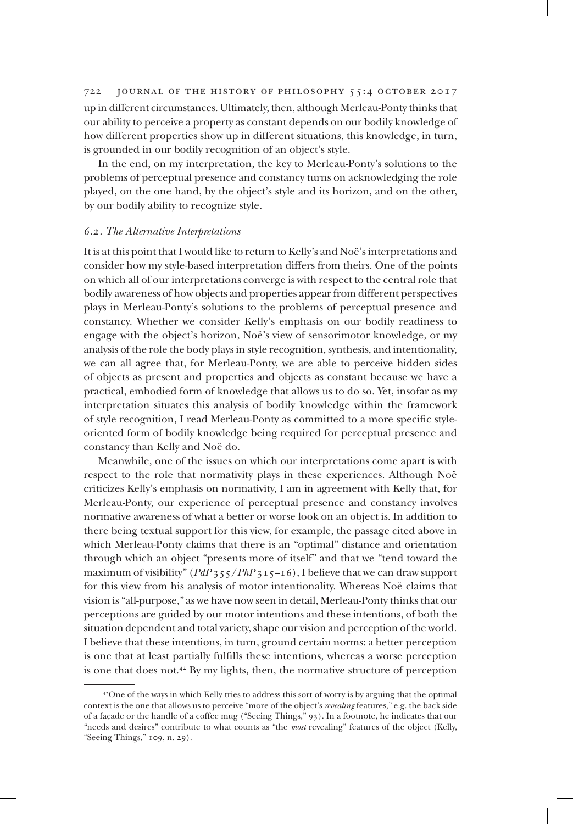722 journal of the history of philosophy 55:4 october 2017 up in different circumstances. Ultimately, then, although Merleau-Ponty thinks that our ability to perceive a property as constant depends on our bodily knowledge of how different properties show up in different situations, this knowledge, in turn, is grounded in our bodily recognition of an object's style.

In the end, on my interpretation, the key to Merleau-Ponty's solutions to the problems of perceptual presence and constancy turns on acknowledging the role played, on the one hand, by the object's style and its horizon, and on the other, by our bodily ability to recognize style.

## *6.2. The Alternative Interpretations*

It is at this point that I would like to return to Kelly's and Noë's interpretations and consider how my style-based interpretation differs from theirs. One of the points on which all of our interpretations converge is with respect to the central role that bodily awareness of how objects and properties appear from different perspectives plays in Merleau-Ponty's solutions to the problems of perceptual presence and constancy. Whether we consider Kelly's emphasis on our bodily readiness to engage with the object's horizon, Noë's view of sensorimotor knowledge, or my analysis of the role the body plays in style recognition, synthesis, and intentionality, we can all agree that, for Merleau-Ponty, we are able to perceive hidden sides of objects as present and properties and objects as constant because we have a practical, embodied form of knowledge that allows us to do so. Yet, insofar as my interpretation situates this analysis of bodily knowledge within the framework of style recognition, I read Merleau-Ponty as committed to a more specific styleoriented form of bodily knowledge being required for perceptual presence and constancy than Kelly and Noë do.

Meanwhile, one of the issues on which our interpretations come apart is with respect to the role that normativity plays in these experiences. Although Noë criticizes Kelly's emphasis on normativity, I am in agreement with Kelly that, for Merleau-Ponty, our experience of perceptual presence and constancy involves normative awareness of what a better or worse look on an object is. In addition to there being textual support for this view, for example, the passage cited above in which Merleau-Ponty claims that there is an "optimal" distance and orientation through which an object "presents more of itself" and that we "tend toward the maximum of visibility" (*PdP* 355/*PhP* 315–16), I believe that we can draw support for this view from his analysis of motor intentionality. Whereas Noë claims that vision is "all-purpose," as we have now seen in detail, Merleau-Ponty thinks that our perceptions are guided by our motor intentions and these intentions, of both the situation dependent and total variety, shape our vision and perception of the world. I believe that these intentions, in turn, ground certain norms: a better perception is one that at least partially fulfills these intentions, whereas a worse perception is one that does not.<sup>42</sup> By my lights, then, the normative structure of perception

<sup>42</sup>One of the ways in which Kelly tries to address this sort of worry is by arguing that the optimal context is the one that allows us to perceive "more of the object's *revealing* features," e.g. the back side of a façade or the handle of a coffee mug ("Seeing Things," 93). In a footnote, he indicates that our "needs and desires" contribute to what counts as "the *most* revealing" features of the object (Kelly, "Seeing Things," 109, n. 29).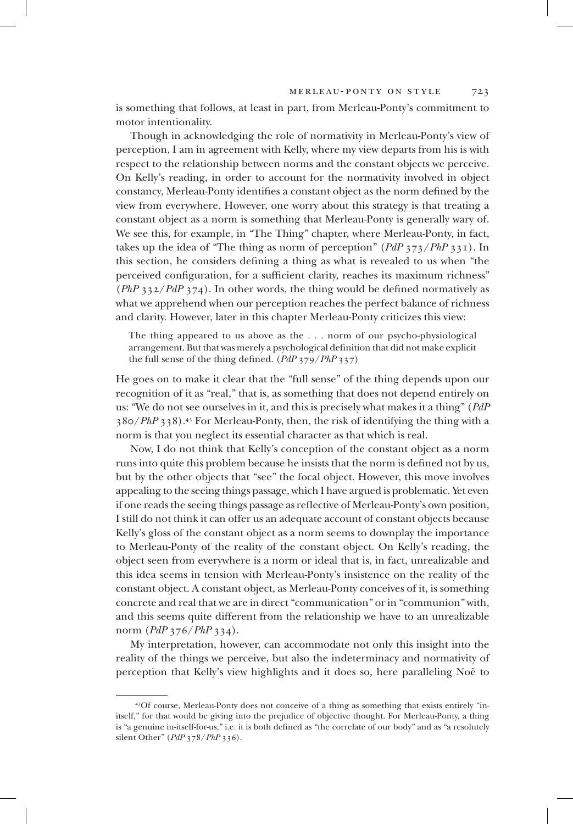is something that follows, at least in part, from Merleau-Ponty's commitment to motor intentionality.

Though in acknowledging the role of normativity in Merleau-Ponty's view of perception, I am in agreement with Kelly, where my view departs from his is with respect to the relationship between norms and the constant objects we perceive. On Kelly's reading, in order to account for the normativity involved in object constancy, Merleau-Ponty identifies a constant object as the norm defined by the view from everywhere. However, one worry about this strategy is that treating a constant object as a norm is something that Merleau-Ponty is generally wary of. We see this, for example, in "The Thing" chapter, where Merleau-Ponty, in fact, takes up the idea of "The thing as norm of perception" (*PdP* 373/*PhP* 331). In this section, he considers defining a thing as what is revealed to us when "the perceived configuration, for a sufficient clarity, reaches its maximum richness" (*PhP* 332/*PdP* 374). In other words, the thing would be defined normatively as what we apprehend when our perception reaches the perfect balance of richness and clarity. However, later in this chapter Merleau-Ponty criticizes this view:

The thing appeared to us above as the . . . norm of our psycho-physiological arrangement. But that was merely a psychological definition that did not make explicit the full sense of the thing defined. (*PdP* 379/*PhP* 337)

He goes on to make it clear that the "full sense" of the thing depends upon our recognition of it as "real," that is, as something that does not depend entirely on us: "We do not see ourselves in it, and this is precisely what makes it a thing" (*PdP* 380/*PhP* 338).<sup>43</sup> For Merleau-Ponty, then, the risk of identifying the thing with a norm is that you neglect its essential character as that which is real.

Now, I do not think that Kelly's conception of the constant object as a norm runs into quite this problem because he insists that the norm is defined not by us, but by the other objects that "see" the focal object. However, this move involves appealing to the seeing things passage, which I have argued is problematic. Yet even if one reads the seeing things passage as reflective of Merleau-Ponty's own position, I still do not think it can offer us an adequate account of constant objects because Kelly's gloss of the constant object as a norm seems to downplay the importance to Merleau-Ponty of the reality of the constant object. On Kelly's reading, the object seen from everywhere is a norm or ideal that is, in fact, unrealizable and this idea seems in tension with Merleau-Ponty's insistence on the reality of the constant object. A constant object, as Merleau-Ponty conceives of it, is something concrete and real that we are in direct "communication" or in "communion" with, and this seems quite different from the relationship we have to an unrealizable norm (*PdP* 376/*PhP* 334).

My interpretation, however, can accommodate not only this insight into the reality of the things we perceive, but also the indeterminacy and normativity of perception that Kelly's view highlights and it does so, here paralleling Noë to

<sup>43</sup>Of course, Merleau-Ponty does not conceive of a thing as something that exists entirely "initself," for that would be giving into the prejudice of objective thought. For Merleau-Ponty, a thing is "a genuine in-itself-for-us," i.e. it is both defined as "the correlate of our body" and as "a resolutely silent Other" (*PdP* 378/*PhP* 336).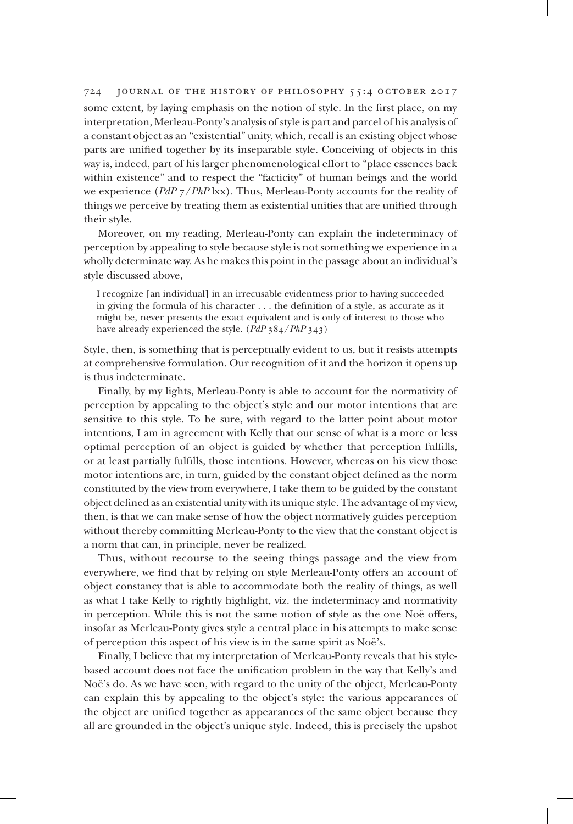some extent, by laying emphasis on the notion of style. In the first place, on my interpretation, Merleau-Ponty's analysis of style is part and parcel of his analysis of a constant object as an "existential" unity, which, recall is an existing object whose parts are unified together by its inseparable style. Conceiving of objects in this way is, indeed, part of his larger phenomenological effort to "place essences back within existence" and to respect the "facticity" of human beings and the world we experience (*PdP* 7/*PhP* lxx). Thus, Merleau-Ponty accounts for the reality of things we perceive by treating them as existential unities that are unified through their style.

Moreover, on my reading, Merleau-Ponty can explain the indeterminacy of perception by appealing to style because style is not something we experience in a wholly determinate way. As he makes this point in the passage about an individual's style discussed above,

I recognize [an individual] in an irrecusable evidentness prior to having succeeded in giving the formula of his character . . . the definition of a style, as accurate as it might be, never presents the exact equivalent and is only of interest to those who have already experienced the style. (*PdP* 384/*PhP* 343)

Style, then, is something that is perceptually evident to us, but it resists attempts at comprehensive formulation. Our recognition of it and the horizon it opens up is thus indeterminate.

Finally, by my lights, Merleau-Ponty is able to account for the normativity of perception by appealing to the object's style and our motor intentions that are sensitive to this style. To be sure, with regard to the latter point about motor intentions, I am in agreement with Kelly that our sense of what is a more or less optimal perception of an object is guided by whether that perception fulfills, or at least partially fulfills, those intentions. However, whereas on his view those motor intentions are, in turn, guided by the constant object defined as the norm constituted by the view from everywhere, I take them to be guided by the constant object defined as an existential unity with its unique style. The advantage of my view, then, is that we can make sense of how the object normatively guides perception without thereby committing Merleau-Ponty to the view that the constant object is a norm that can, in principle, never be realized.

Thus, without recourse to the seeing things passage and the view from everywhere, we find that by relying on style Merleau-Ponty offers an account of object constancy that is able to accommodate both the reality of things, as well as what I take Kelly to rightly highlight, viz. the indeterminacy and normativity in perception. While this is not the same notion of style as the one Noë offers, insofar as Merleau-Ponty gives style a central place in his attempts to make sense of perception this aspect of his view is in the same spirit as Noë's.

Finally, I believe that my interpretation of Merleau-Ponty reveals that his stylebased account does not face the unification problem in the way that Kelly's and Noë's do. As we have seen, with regard to the unity of the object, Merleau-Ponty can explain this by appealing to the object's style: the various appearances of the object are unified together as appearances of the same object because they all are grounded in the object's unique style. Indeed, this is precisely the upshot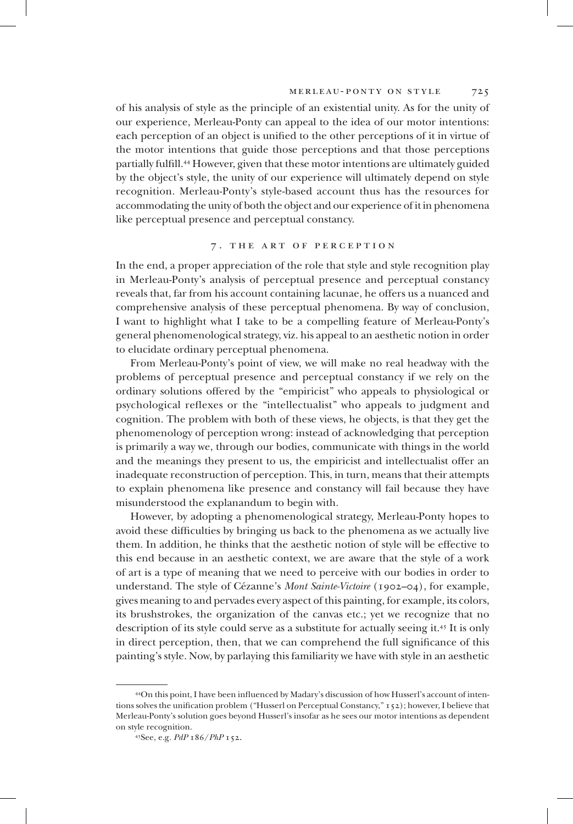of his analysis of style as the principle of an existential unity. As for the unity of our experience, Merleau-Ponty can appeal to the idea of our motor intentions: each perception of an object is unified to the other perceptions of it in virtue of the motor intentions that guide those perceptions and that those perceptions partially fulfill.<sup>44</sup> However, given that these motor intentions are ultimately guided by the object's style, the unity of our experience will ultimately depend on style recognition. Merleau-Ponty's style-based account thus has the resources for accommodating the unity of both the object and our experience of it in phenomena like perceptual presence and perceptual constancy.

#### 7 . the art of perception

In the end, a proper appreciation of the role that style and style recognition play in Merleau-Ponty's analysis of perceptual presence and perceptual constancy reveals that, far from his account containing lacunae, he offers us a nuanced and comprehensive analysis of these perceptual phenomena. By way of conclusion, I want to highlight what I take to be a compelling feature of Merleau-Ponty's general phenomenological strategy, viz. his appeal to an aesthetic notion in order to elucidate ordinary perceptual phenomena.

From Merleau-Ponty's point of view, we will make no real headway with the problems of perceptual presence and perceptual constancy if we rely on the ordinary solutions offered by the "empiricist" who appeals to physiological or psychological reflexes or the "intellectualist" who appeals to judgment and cognition. The problem with both of these views, he objects, is that they get the phenomenology of perception wrong: instead of acknowledging that perception is primarily a way we, through our bodies, communicate with things in the world and the meanings they present to us, the empiricist and intellectualist offer an inadequate reconstruction of perception. This, in turn, means that their attempts to explain phenomena like presence and constancy will fail because they have misunderstood the explanandum to begin with.

However, by adopting a phenomenological strategy, Merleau-Ponty hopes to avoid these difficulties by bringing us back to the phenomena as we actually live them. In addition, he thinks that the aesthetic notion of style will be effective to this end because in an aesthetic context, we are aware that the style of a work of art is a type of meaning that we need to perceive with our bodies in order to understand. The style of Cézanne's *Mont Sainte-Victoire* (1902–04), for example, gives meaning to and pervades every aspect of this painting, for example, its colors, its brushstrokes, the organization of the canvas etc.; yet we recognize that no description of its style could serve as a substitute for actually seeing it.<sup>45</sup> It is only in direct perception, then, that we can comprehend the full significance of this painting's style. Now, by parlaying this familiarity we have with style in an aesthetic

<sup>44</sup>On this point, I have been influenced by Madary's discussion of how Husserl's account of intentions solves the unification problem ("Husserl on Perceptual Constancy," 152); however, I believe that Merleau-Ponty's solution goes beyond Husserl's insofar as he sees our motor intentions as dependent on style recognition.

<sup>45</sup>See, e.g. *PdP* 186/*PhP* 152.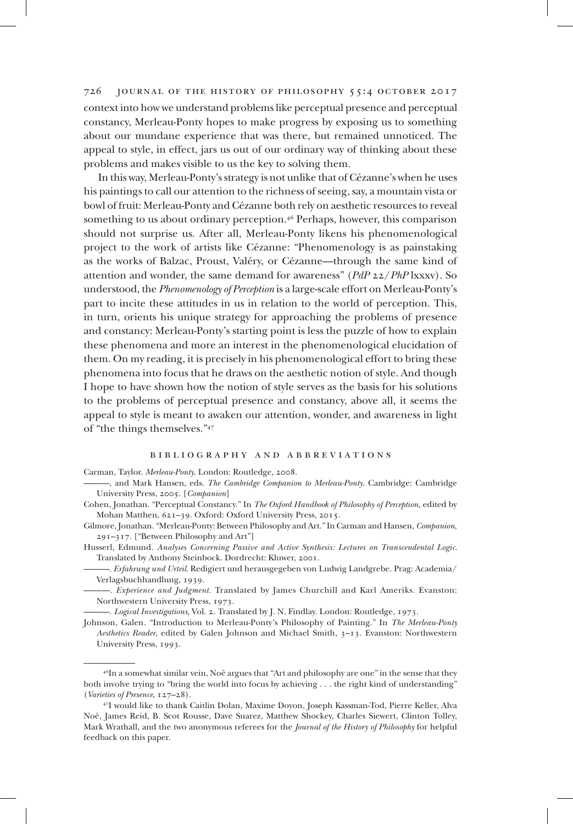context into how we understand problems like perceptual presence and perceptual constancy, Merleau-Ponty hopes to make progress by exposing us to something about our mundane experience that was there, but remained unnoticed. The appeal to style, in effect, jars us out of our ordinary way of thinking about these problems and makes visible to us the key to solving them.

In this way, Merleau-Ponty's strategy is not unlike that of Cézanne's when he uses his paintings to call our attention to the richness of seeing, say, a mountain vista or bowl of fruit: Merleau-Ponty and Cézanne both rely on aesthetic resources to reveal something to us about ordinary perception.<sup>46</sup> Perhaps, however, this comparison should not surprise us. After all, Merleau-Ponty likens his phenomenological project to the work of artists like Cézanne: "Phenomenology is as painstaking as the works of Balzac, Proust, Valéry, or Cézanne—through the same kind of attention and wonder, the same demand for awareness" (*PdP* 22/*PhP* lxxxv). So understood, the *Phenomenology of Perception* is a large-scale effort on Merleau-Ponty's part to incite these attitudes in us in relation to the world of perception. This, in turn, orients his unique strategy for approaching the problems of presence and constancy: Merleau-Ponty's starting point is less the puzzle of how to explain these phenomena and more an interest in the phenomenological elucidation of them. On my reading, it is precisely in his phenomenological effort to bring these phenomena into focus that he draws on the aesthetic notion of style. And though I hope to have shown how the notion of style serves as the basis for his solutions to the problems of perceptual presence and constancy, above all, it seems the appeal to style is meant to awaken our attention, wonder, and awareness in light of "the things themselves."<sup>47</sup>

#### bibliography and abbreviations

Carman, Taylor. *Merleau-Ponty*. London: Routledge, 2008.

- ———, and Mark Hansen, eds. *The Cambridge Companion to Merleau-Ponty*. Cambridge: Cambridge University Press, 2005. [*Companion*]
- Cohen, Jonathan. "Perceptual Constancy." In *The Oxford Handbook of Philosophy of Perception*, edited by Mohan Matthen, 621–39. Oxford: Oxford University Press, 2015.
- Gilmore, Jonathan. "Merleau-Ponty: Between Philosophy and Art." In Carman and Hansen, *Companion*, 291–317. ["Between Philosophy and Art"]
- Husserl, Edmund. *Analyses Concerning Passive and Active Synthesis: Lectures on Transcendental Logic*. Translated by Anthony Steinbock. Dordrecht: Kluwer, 2001.
	- ———. *Erfahrung und Urteil*. Redigiert und herausgegeben von Ludwig Landgrebe. Prag: Academia/ Verlagsbuchhandlung, 1939.
	- ———. *Experience and Judgment*. Translated by James Churchill and Karl Ameriks. Evanston: Northwestern University Press, 1973.

———. *Logical Investigations*, Vol. 2*.* Translated by J. N. Findlay. London: Routledge, 1973.

Johnson, Galen. "Introduction to Merleau-Ponty's Philosophy of Painting." In *The Merleau-Ponty Aesthetics Reader*, edited by Galen Johnson and Michael Smith, 3–13. Evanston: Northwestern University Press, 1993.

<sup>46</sup>In a somewhat similar vein, Noë argues that "Art and philosophy are one" in the sense that they both involve trying to "bring the world into focus by achieving . . . the right kind of understanding" (*Varieties of Presence*, 127–28).

<sup>47</sup>I would like to thank Caitlin Dolan, Maxime Doyon, Joseph Kassman-Tod, Pierre Keller, Alva Noë, James Reid, B. Scot Rousse, Dave Suarez, Matthew Shockey, Charles Siewert, Clinton Tolley, Mark Wrathall, and the two anonymous referees for the *Journal of the History of Philosophy* for helpful feedback on this paper.